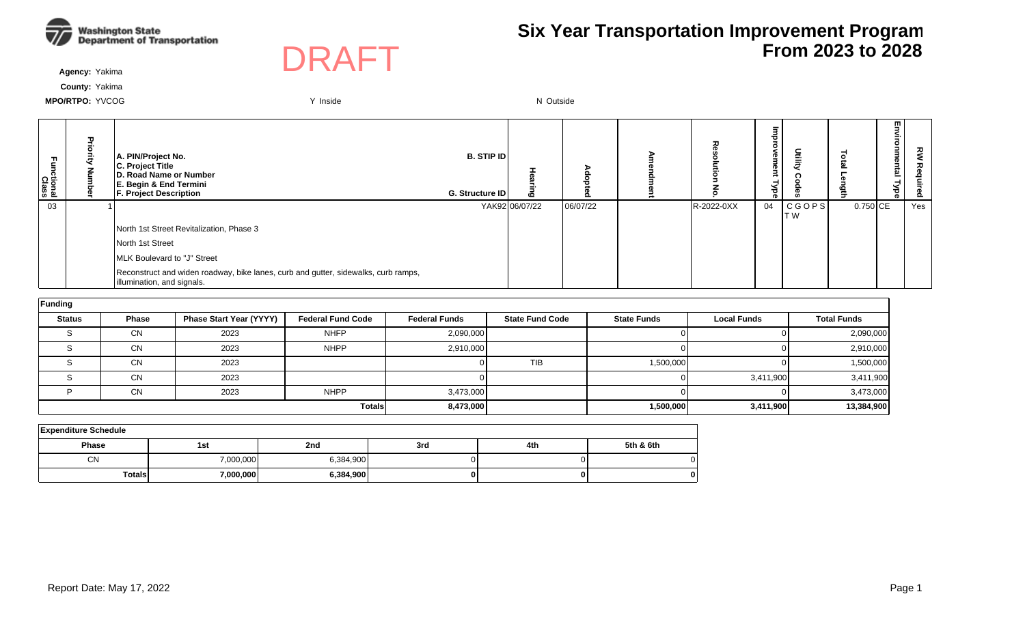



**Agency:** Yakima

**County:** Yakima

| unctional<br>Class | A. PIN/Project No.<br>C. Project Title<br>D. Road Name or Number<br>E. Begin & End Termini<br><b>F. Project Description</b> | <b>B. STIP IDI</b><br>G. Structure ID | Ю              |          | ᅏ          | 률<br>e<br>eut<br>Гуре | Dtilit        |            | 쯰<br>한<br>78 | ௨   |
|--------------------|-----------------------------------------------------------------------------------------------------------------------------|---------------------------------------|----------------|----------|------------|-----------------------|---------------|------------|--------------|-----|
| 03                 |                                                                                                                             |                                       | YAK92 06/07/22 | 06/07/22 | R-2022-0XX | 04                    | CGOPS <br>T W | $0.750$ CE |              | Yes |
|                    | North 1st Street Revitalization, Phase 3                                                                                    |                                       |                |          |            |                       |               |            |              |     |
|                    | North 1st Street                                                                                                            |                                       |                |          |            |                       |               |            |              |     |
|                    | MLK Boulevard to "J" Street                                                                                                 |                                       |                |          |            |                       |               |            |              |     |
|                    | Reconstruct and widen roadway, bike lanes, curb and gutter, sidewalks, curb ramps,<br>illumination, and signals.            |                                       |                |          |            |                       |               |            |              |     |

| Funding       |              |                                |                          |                      |                        |                    |                    |                    |
|---------------|--------------|--------------------------------|--------------------------|----------------------|------------------------|--------------------|--------------------|--------------------|
| <b>Status</b> | <b>Phase</b> | <b>Phase Start Year (YYYY)</b> | <b>Federal Fund Code</b> | <b>Federal Funds</b> | <b>State Fund Code</b> | <b>State Funds</b> | <b>Local Funds</b> | <b>Total Funds</b> |
|               | CN           | 2023                           | <b>NHFP</b>              | 2,090,000            |                        |                    |                    | 2,090,000          |
|               | CN           | 2023                           | <b>NHPP</b>              | 2,910,000            |                        |                    |                    | 2,910,000          |
|               | CN           | 2023                           |                          |                      | TIB                    | 1,500,000          |                    | 1,500,000          |
|               | <b>CN</b>    | 2023                           |                          |                      |                        |                    | 3,411,900          | 3,411,900          |
|               | <b>CN</b>    | 2023                           | <b>NHPP</b>              | 3,473,000            |                        |                    |                    | 3,473,000          |
|               |              |                                | <b>Totals</b>            | 8,473,000            |                        | 1,500,000          | 3,411,900          | 13,384,900         |

| <b>Expenditure Schedule</b> |           |           |     |     |           |  |  |  |  |  |  |  |
|-----------------------------|-----------|-----------|-----|-----|-----------|--|--|--|--|--|--|--|
| Phase                       | 1st       | 2nd       | 3rd | 4th | 5th & 6th |  |  |  |  |  |  |  |
| <b>CN</b>                   | 7,000,000 | 6,384,900 |     |     |           |  |  |  |  |  |  |  |
| <b>Totals</b>               | 7,000,000 | 6,384,900 | OΙ  | o   | 0         |  |  |  |  |  |  |  |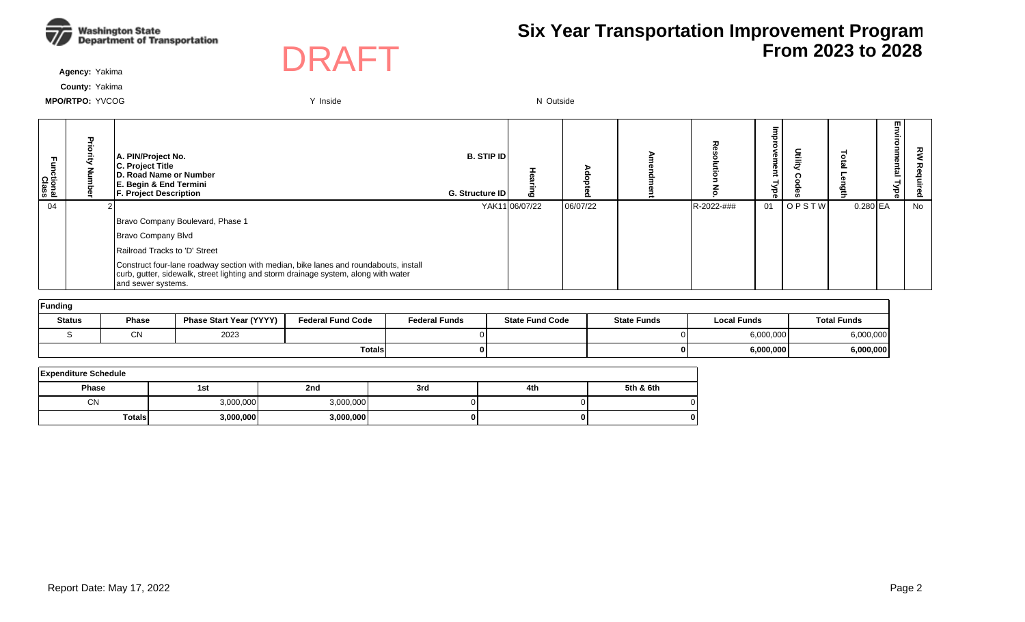



**Agency:** Yakima

**County:** Yakima

| Functional<br>Class | ᠊ᠣ | A. PIN/Project No.<br>C. Project Title<br>D. Road Name or Number<br>E. Begin & End Termini<br><b>F. Project Description</b>                                                                       | <b>B. STIP IDI</b><br>G. Structure ID | <b>CO</b>      |          |            | <b>D</b><br>®<br>≺<br>್ಥ | Ĕ     |            | m<br><u>نە</u> | 깋<br>ဥ |
|---------------------|----|---------------------------------------------------------------------------------------------------------------------------------------------------------------------------------------------------|---------------------------------------|----------------|----------|------------|--------------------------|-------|------------|----------------|--------|
| 04                  |    |                                                                                                                                                                                                   |                                       | YAK11 06/07/22 | 06/07/22 | R-2022-### | 01                       | OPSTW | $0.280$ EA |                | No     |
|                     |    | Bravo Company Boulevard, Phase 1                                                                                                                                                                  |                                       |                |          |            |                          |       |            |                |        |
|                     |    | Bravo Company Blvd                                                                                                                                                                                |                                       |                |          |            |                          |       |            |                |        |
|                     |    | Railroad Tracks to 'D' Street                                                                                                                                                                     |                                       |                |          |            |                          |       |            |                |        |
|                     |    | Construct four-lane roadway section with median, bike lanes and roundabouts, install<br>curb, gutter, sidewalk, street lighting and storm drainage system, along with water<br>and sewer systems. |                                       |                |          |            |                          |       |            |                |        |
| الممتلومين وال      |    |                                                                                                                                                                                                   |                                       |                |          |            |                          |       |            |                |        |

| ⊺runamg       |          |                                |                          |                      |                        |                    |                    |                    |  |  |  |  |  |
|---------------|----------|--------------------------------|--------------------------|----------------------|------------------------|--------------------|--------------------|--------------------|--|--|--|--|--|
| <b>Status</b> | Phase    | <b>Phase Start Year (YYYY)</b> | <b>Federal Fund Code</b> | <b>Federal Funds</b> | <b>State Fund Code</b> | <b>State Funds</b> | <b>Local Funds</b> | <b>Total Funds</b> |  |  |  |  |  |
|               | ៱៶<br>U١ | 2023                           |                          |                      |                        |                    | 6,000,000          | 6,000,000          |  |  |  |  |  |
|               |          |                                | <b>Totals</b>            |                      |                        |                    | 6,000,000          | 6,000,000          |  |  |  |  |  |

| <b>Expenditure Schedule</b> |           |           |     |     |           |  |  |  |  |  |  |  |
|-----------------------------|-----------|-----------|-----|-----|-----------|--|--|--|--|--|--|--|
| Phase                       | 1St       | 2nd       | 3rd | 4th | 5th & 6th |  |  |  |  |  |  |  |
| CN                          | 3,000,000 | 3.000.000 |     |     |           |  |  |  |  |  |  |  |
| <b>Totals</b>               | 3,000,000 | 3.000.000 |     |     | 0         |  |  |  |  |  |  |  |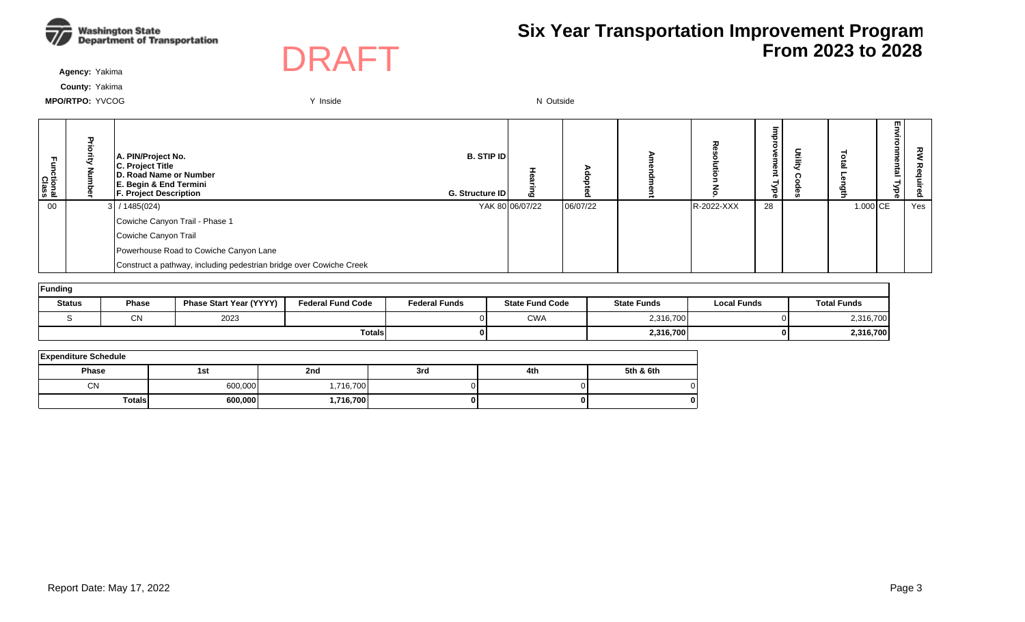



**Agency:** Yakima

**County:** Yakima

| Fa<br>E<br>ctional<br>Class | $\mathbf{u}$ | A. PIN/Project No.<br>C. Project Title<br>D. Road Name or Number<br>E. Begin & End Termini<br><b>F. Project Description</b> | <b>B. STIP IDI</b><br>G. Structure ID | ه               |          |            | 73.<br>⋜<br>73<br>ਨ | ◡<br>亖 |            | 핗<br>ξ.<br>omne<br>lag<br>Гуре | ᅍ   |
|-----------------------------|--------------|-----------------------------------------------------------------------------------------------------------------------------|---------------------------------------|-----------------|----------|------------|---------------------|--------|------------|--------------------------------|-----|
| 00                          |              | $3$ / 1485(024)                                                                                                             |                                       | YAK 80 06/07/22 | 06/07/22 | R-2022-XXX | 28                  |        | $1.000$ CE |                                | Yes |
|                             |              | Cowiche Canyon Trail - Phase 1                                                                                              |                                       |                 |          |            |                     |        |            |                                |     |
|                             |              | Cowiche Canyon Trail                                                                                                        |                                       |                 |          |            |                     |        |            |                                |     |
|                             |              | Powerhouse Road to Cowiche Canyon Lane                                                                                      |                                       |                 |          |            |                     |        |            |                                |     |
|                             |              | Construct a pathway, including pedestrian bridge over Cowiche Creek                                                         |                                       |                 |          |            |                     |        |            |                                |     |

| Funding       |              |                                |                          |                      |                        |                    |                    |                    |  |  |  |  |
|---------------|--------------|--------------------------------|--------------------------|----------------------|------------------------|--------------------|--------------------|--------------------|--|--|--|--|
| <b>Status</b> | <b>Phase</b> | <b>Phase Start Year (YYYY)</b> | <b>Federal Fund Code</b> | <b>Federal Funds</b> | <b>State Fund Code</b> | <b>State Funds</b> | <b>Local Funds</b> | <b>Total Funds</b> |  |  |  |  |
|               | <b>CN</b>    | 2023                           |                          |                      | <b>CWA</b>             | 2,316,700          |                    | 2,316,700          |  |  |  |  |
|               |              |                                | <b>Totals</b>            |                      |                        | 2,316,700          |                    | 2,316,700          |  |  |  |  |

| <b>Expenditure Schedule</b> |         |           |     |     |           |  |  |  |  |  |  |
|-----------------------------|---------|-----------|-----|-----|-----------|--|--|--|--|--|--|
| Phase                       | 1st     | 2nd       | 3rd | 4th | 5th & 6th |  |  |  |  |  |  |
| <b>CN</b>                   | 600,000 | ,716,700  |     |     |           |  |  |  |  |  |  |
| <b>Totals</b>               | 600,000 | 1,716,700 |     |     | 01        |  |  |  |  |  |  |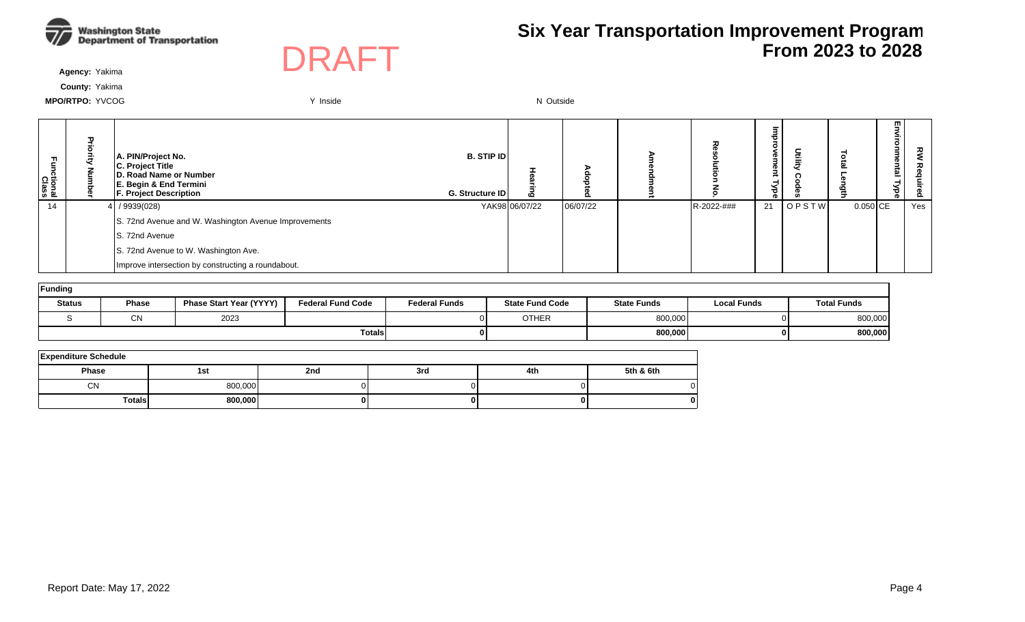



**Agency:** Yakima

**County:** Yakima

| Functional<br>Class | $\mathbf{\tau}$ | A. PIN/Project No.<br>C. Project Title<br>D. Road Name or Number<br>E. Begin & End Termini<br><b>F. Project Description</b> | <b>B. STIP IDI</b><br><b>G. Structure IDI</b> | 6              |          |            | ਠ<br>െ<br>≺<br>न्नु । | ₫            |            | 핗<br>≦.<br>onme<br>intal<br>넣<br>o. | ᅍ   |
|---------------------|-----------------|-----------------------------------------------------------------------------------------------------------------------------|-----------------------------------------------|----------------|----------|------------|-----------------------|--------------|------------|-------------------------------------|-----|
| 14                  |                 | 4 / 9939(028)                                                                                                               |                                               | YAK98 06/07/22 | 06/07/22 | R-2022-### | 21                    | <b>OPSTW</b> | $0.050$ CE |                                     | Yes |
|                     |                 | S. 72nd Avenue and W. Washington Avenue Improvements                                                                        |                                               |                |          |            |                       |              |            |                                     |     |
|                     |                 | IS. 72nd Avenue                                                                                                             |                                               |                |          |            |                       |              |            |                                     |     |
|                     |                 | S. 72nd Avenue to W. Washington Ave.                                                                                        |                                               |                |          |            |                       |              |            |                                     |     |
|                     |                 | Improve intersection by constructing a roundabout.                                                                          |                                               |                |          |            |                       |              |            |                                     |     |

| Funding       |              |                                |                          |                      |                        |                    |                    |                    |  |  |  |  |
|---------------|--------------|--------------------------------|--------------------------|----------------------|------------------------|--------------------|--------------------|--------------------|--|--|--|--|
| <b>Status</b> | <b>Phase</b> | <b>Phase Start Year (YYYY)</b> | <b>Federal Fund Code</b> | <b>Federal Funds</b> | <b>State Fund Code</b> | <b>State Funds</b> | <b>Local Funds</b> | <b>Total Funds</b> |  |  |  |  |
|               | $\sim$<br>◡◝ | 2023                           |                          |                      | <b>OTHER</b>           | 800,000            |                    | 800,000            |  |  |  |  |
|               |              |                                | <b>Totals</b>            |                      |                        | 800,000            |                    | 800,000            |  |  |  |  |

| <b>Expenditure Schedule</b> |         |     |     |     |           |  |  |  |  |  |  |
|-----------------------------|---------|-----|-----|-----|-----------|--|--|--|--|--|--|
| <b>Phase</b>                | 1st     | 2nd | 3rd | 4th | 5th & 6th |  |  |  |  |  |  |
| СN                          | 800,000 |     |     |     |           |  |  |  |  |  |  |
| <b>Totals</b>               | 800,000 | o   |     |     |           |  |  |  |  |  |  |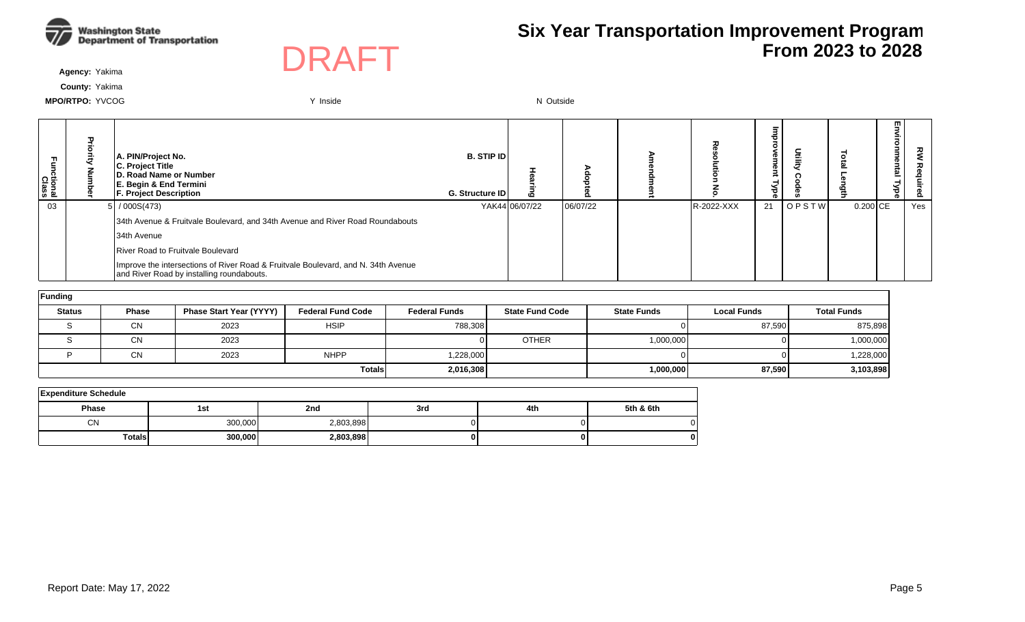



**Agency:** Yakima

**County:** Yakima

| ctional<br>Class |  | A. PIN/Project No.<br>C. Project Title<br>D. Road Name or Number<br>E. Begin & End Termini<br><b>F. Project Description</b>    | <b>B. STIP IDI</b><br><b>G. Structure IDI</b> | $\mathbf{c}$   |          |            | Φ<br>Φ<br>ಕ<br>ര |              |            | m<br><u>ត</u> | ᅍ<br>௨ |
|------------------|--|--------------------------------------------------------------------------------------------------------------------------------|-----------------------------------------------|----------------|----------|------------|------------------|--------------|------------|---------------|--------|
| 03               |  | 5/000S(473)                                                                                                                    |                                               | YAK44106/07/22 | 06/07/22 | R-2022-XXX | 21               | <b>OPSTW</b> | $0.200$ CE |               | Yes    |
|                  |  | 34th Avenue & Fruitvale Boulevard, and 34th Avenue and River Road Roundabouts                                                  |                                               |                |          |            |                  |              |            |               |        |
|                  |  | 34th Avenue                                                                                                                    |                                               |                |          |            |                  |              |            |               |        |
|                  |  | River Road to Fruitvale Boulevard                                                                                              |                                               |                |          |            |                  |              |            |               |        |
|                  |  | Improve the intersections of River Road & Fruitvale Boulevard, and N. 34th Avenue<br>and River Road by installing roundabouts. |                                               |                |          |            |                  |              |            |               |        |

| Funding       |              |                                |                          |                      |                        |                    |                    |                    |  |  |  |  |  |
|---------------|--------------|--------------------------------|--------------------------|----------------------|------------------------|--------------------|--------------------|--------------------|--|--|--|--|--|
| <b>Status</b> | <b>Phase</b> | <b>Phase Start Year (YYYY)</b> | <b>Federal Fund Code</b> | <b>Federal Funds</b> | <b>State Fund Code</b> | <b>State Funds</b> | <b>Local Funds</b> | <b>Total Funds</b> |  |  |  |  |  |
|               | <b>CN</b>    | 2023                           | <b>HSIP</b>              | 788,308              |                        |                    | 87,590             | 875,898            |  |  |  |  |  |
|               | CN           | 2023                           |                          |                      | <b>OTHER</b>           | 1,000,000          |                    | 1,000,000          |  |  |  |  |  |
|               | <b>CN</b>    | 2023                           | <b>NHPP</b>              | 1,228,000            |                        |                    |                    | 1,228,000          |  |  |  |  |  |
|               |              |                                | <b>Totals</b>            | 2,016,308            |                        | 1,000,000          | 87,590             | 3,103,898          |  |  |  |  |  |

| <b>Expenditure Schedule</b> |         |           |     |     |           |  |  |  |  |  |  |  |
|-----------------------------|---------|-----------|-----|-----|-----------|--|--|--|--|--|--|--|
| <b>Phase</b>                | 1st     | 2nd       | 3rd | 4th | 5th & 6th |  |  |  |  |  |  |  |
| <b>CN</b>                   | 300,000 | 2,803,898 |     |     |           |  |  |  |  |  |  |  |
| <b>Totals</b>               | 300,000 | 2,803,898 |     | 01  |           |  |  |  |  |  |  |  |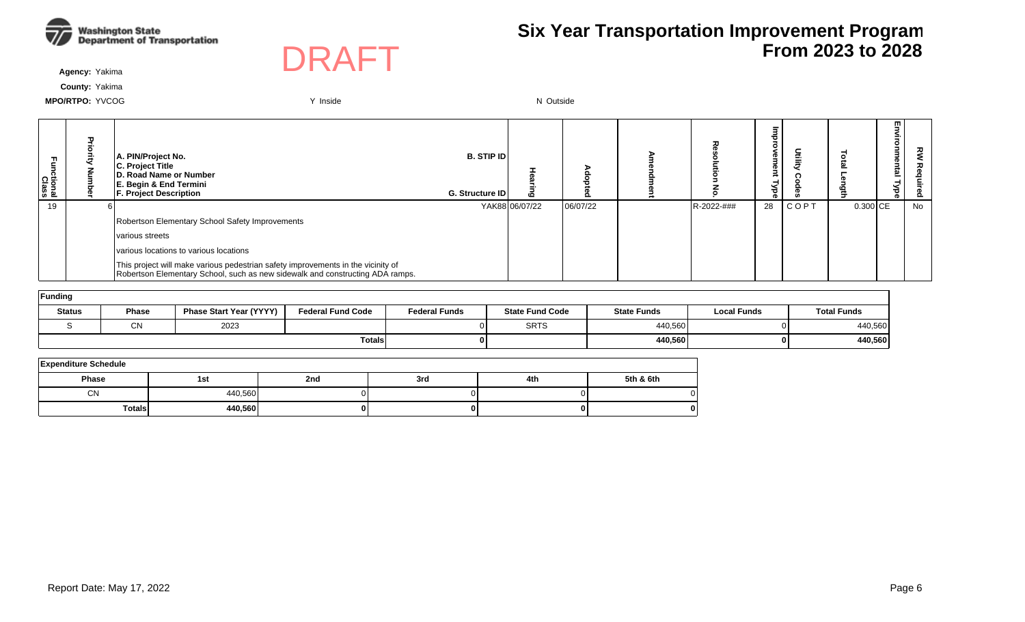



**Agency:** Yakima

**County:** Yakima

| 곤<br>ctional<br>Class | A. PIN/Project No.<br>C. Project Title<br><b>ID. Road Name or Number</b><br>E. Begin & End Termini<br><b>F. Project Description</b>                               | <b>B. STIP IDI</b><br><b>G. Structure IDI</b> | ه              |          |            | œ<br>œ<br>ಕ | ≣     |            | 罒<br>ame<br>툐<br>ہی<br>ಕ | ᇰ<br>௨ |
|-----------------------|-------------------------------------------------------------------------------------------------------------------------------------------------------------------|-----------------------------------------------|----------------|----------|------------|-------------|-------|------------|--------------------------|--------|
| 19                    |                                                                                                                                                                   |                                               | YAK88106/07/22 | 06/07/22 | R-2022-### | 28          | ICOPT | $0.300$ CE |                          | No     |
|                       | Robertson Elementary School Safety Improvements                                                                                                                   |                                               |                |          |            |             |       |            |                          |        |
|                       | various streets                                                                                                                                                   |                                               |                |          |            |             |       |            |                          |        |
|                       | various locations to various locations                                                                                                                            |                                               |                |          |            |             |       |            |                          |        |
|                       | This project will make various pedestrian safety improvements in the vicinity of<br>Robertson Elementary School, such as new sidewalk and constructing ADA ramps. |                                               |                |          |            |             |       |            |                          |        |

| Funding       |              |                                |                          |                      |                        |                    |                    |                    |  |  |  |  |  |  |
|---------------|--------------|--------------------------------|--------------------------|----------------------|------------------------|--------------------|--------------------|--------------------|--|--|--|--|--|--|
| <b>Status</b> | <b>Phase</b> | <b>Phase Start Year (YYYY)</b> | <b>Federal Fund Code</b> | <b>Federal Funds</b> | <b>State Fund Code</b> | <b>State Funds</b> | <b>Local Funds</b> | <b>Total Funds</b> |  |  |  |  |  |  |
|               | $\sim$<br>UΝ | 2023                           |                          |                      | <b>SRTS</b>            | 440,560            | ור                 | 440,560            |  |  |  |  |  |  |
|               |              |                                | <b>Totals</b>            |                      |                        | 440,560            | 01                 | 440,560            |  |  |  |  |  |  |

| <b>Expenditure Schedule</b> |         |     |     |     |           |  |  |  |  |  |  |  |
|-----------------------------|---------|-----|-----|-----|-----------|--|--|--|--|--|--|--|
| <b>Phase</b>                | 1st     | 2nd | 3rd | 4th | 5th & 6th |  |  |  |  |  |  |  |
| <b>CN</b>                   | 440,560 |     |     |     |           |  |  |  |  |  |  |  |
| Totals                      | 440,560 |     |     |     | o         |  |  |  |  |  |  |  |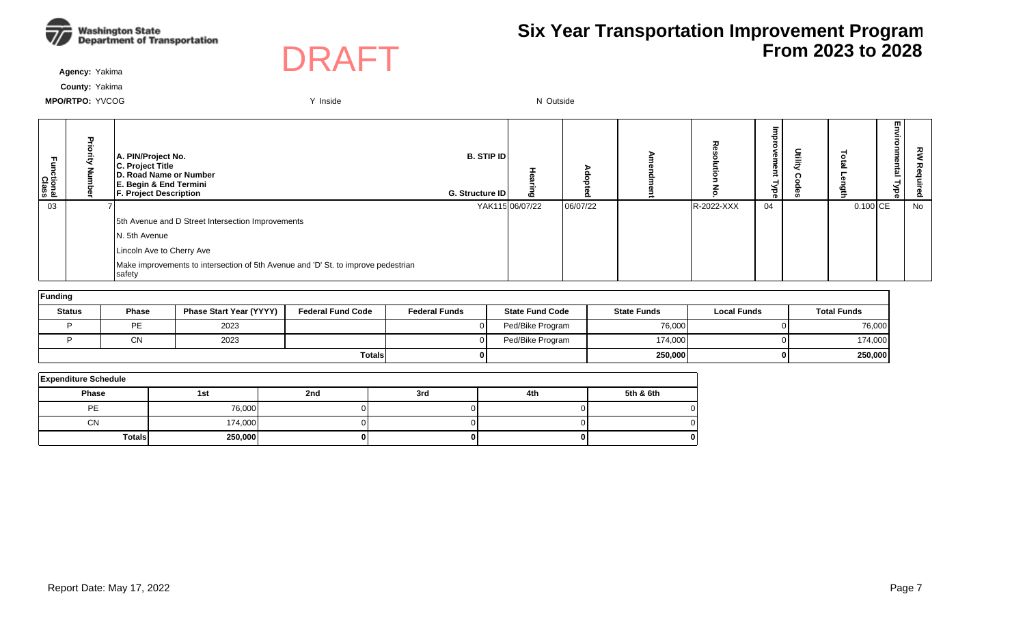



**Agency:** Yakima

**County:** Yakima

| Ę<br>ctional<br>Class | A. PIN/Project No.<br>C. Project Title<br><b>ID. Road Name or Number</b><br>E. Begin & End Termini<br><b>F. Project Description</b> | <b>B. STIP IDI</b><br><b>G. Structure IDI</b> | 6               |          | ᅍ          | Œ<br>Œ<br>ă<br>Φ | 릏 |                        | ш<br>Ì.<br>nental<br>₹<br>ಕ | ᇰ<br>Ö. |
|-----------------------|-------------------------------------------------------------------------------------------------------------------------------------|-----------------------------------------------|-----------------|----------|------------|------------------|---|------------------------|-----------------------------|---------|
| 03                    |                                                                                                                                     |                                               | YAK115 06/07/22 | 06/07/22 | R-2022-XXX | 04               |   | $0.100$ <sub>ICE</sub> |                             | No      |
|                       | 5th Avenue and D Street Intersection Improvements                                                                                   |                                               |                 |          |            |                  |   |                        |                             |         |
|                       | N. 5th Avenue                                                                                                                       |                                               |                 |          |            |                  |   |                        |                             |         |
|                       | Lincoln Ave to Cherry Ave                                                                                                           |                                               |                 |          |            |                  |   |                        |                             |         |
|                       | Make improvements to intersection of 5th Avenue and 'D' St. to improve pedestrian<br>safety                                         |                                               |                 |          |            |                  |   |                        |                             |         |

| Funding       |              |                                |                          |                      |                        |                    |                    |                    |
|---------------|--------------|--------------------------------|--------------------------|----------------------|------------------------|--------------------|--------------------|--------------------|
| <b>Status</b> | <b>Phase</b> | <b>Phase Start Year (YYYY)</b> | <b>Federal Fund Code</b> | <b>Federal Funds</b> | <b>State Fund Code</b> | <b>State Funds</b> | <b>Local Funds</b> | <b>Total Funds</b> |
|               | PE           | 2023                           |                          |                      | Ped/Bike Program       | 76,000             | ΩL                 | 76,000             |
|               | CN           | 2023                           |                          |                      | Ped/Bike Program       | 174,000            | ΩI                 | 174,000            |
|               |              |                                | <b>Totals</b>            |                      |                        | 250,000            | 0 I                | 250,000            |

| <b>Expenditure Schedule</b> |         |     |     |     |           |  |  |  |  |  |  |  |
|-----------------------------|---------|-----|-----|-----|-----------|--|--|--|--|--|--|--|
| <b>Phase</b>                | 1st     | 2nd | 3rd | 4th | 5th & 6th |  |  |  |  |  |  |  |
| <b>PE</b>                   | 76,000  |     |     |     |           |  |  |  |  |  |  |  |
| <b>CN</b>                   | 174,000 |     |     |     |           |  |  |  |  |  |  |  |
| <b>Totals</b>               | 250,000 |     |     |     |           |  |  |  |  |  |  |  |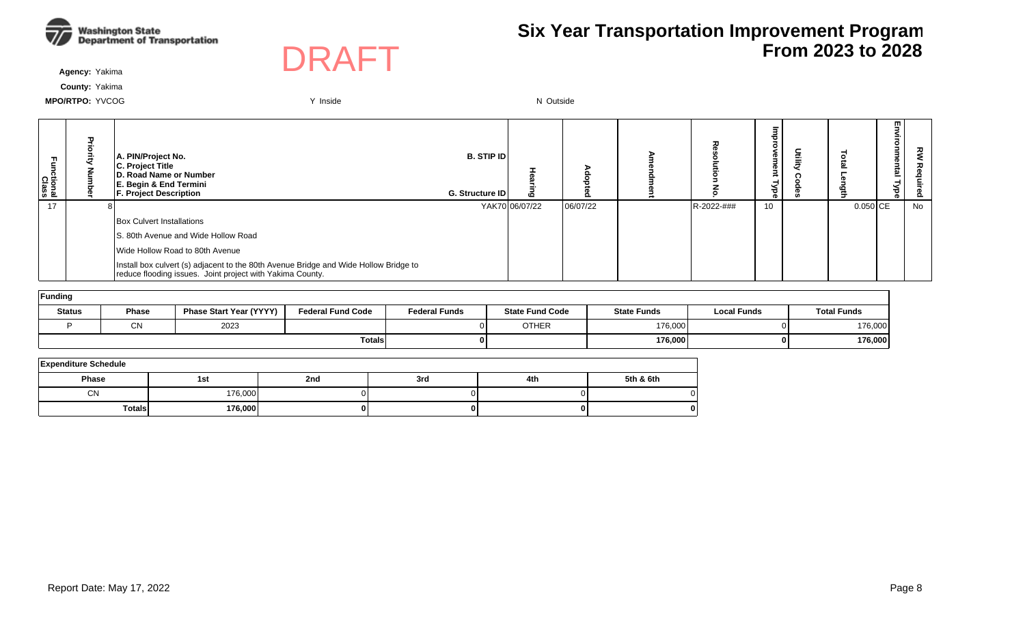



**Agency:** Yakima

**County:** Yakima

| Functional<br>Class | ᠊ᠣ | A. PIN/Project No.<br>C. Project Title<br>D. Road Name or Number<br>E. Begin & End Termini<br><b>F. Project Description</b>                       | <b>B. STIP IDI</b><br><b>G. Structure IDI</b> | ه              |          |            | ൈ<br>œ<br>73 | $\epsilon$ | ₹          | Environmental<br><b>Type</b> | ट्ट<br>௨ |
|---------------------|----|---------------------------------------------------------------------------------------------------------------------------------------------------|-----------------------------------------------|----------------|----------|------------|--------------|------------|------------|------------------------------|----------|
| 17                  |    |                                                                                                                                                   |                                               | YAK70 06/07/22 | 06/07/22 | R-2022-### | 10           |            | $0.050$ CE |                              | No       |
|                     |    | Box Culvert Installations                                                                                                                         |                                               |                |          |            |              |            |            |                              |          |
|                     |    | IS, 80th Avenue and Wide Hollow Road                                                                                                              |                                               |                |          |            |              |            |            |                              |          |
|                     |    | Wide Hollow Road to 80th Avenue                                                                                                                   |                                               |                |          |            |              |            |            |                              |          |
|                     |    | Install box culvert (s) adjacent to the 80th Avenue Bridge and Wide Hollow Bridge to<br>reduce flooding issues. Joint project with Yakima County. |                                               |                |          |            |              |            |            |                              |          |

| Funding       |              |                                |                          |                      |                        |                    |                    |                    |  |  |  |  |  |  |
|---------------|--------------|--------------------------------|--------------------------|----------------------|------------------------|--------------------|--------------------|--------------------|--|--|--|--|--|--|
| <b>Status</b> | <b>Phase</b> | <b>Phase Start Year (YYYY)</b> | <b>Federal Fund Code</b> | <b>Federal Funds</b> | <b>State Fund Code</b> | <b>State Funds</b> | <b>Local Funds</b> | <b>Total Funds</b> |  |  |  |  |  |  |
|               | CN           | 2023                           |                          |                      | <b>OTHER</b>           | 176,000            | ΩL                 | 176,000            |  |  |  |  |  |  |
|               |              |                                | Totalsl                  |                      |                        | 176,000            | 0 I                | 176,000            |  |  |  |  |  |  |

| <b>Expenditure Schedule</b> |         |     |     |     |           |  |  |  |  |  |  |  |  |
|-----------------------------|---------|-----|-----|-----|-----------|--|--|--|--|--|--|--|--|
| Phase                       | 1st     | 2nd | 3rd | 4th | 5th & 6th |  |  |  |  |  |  |  |  |
| CN                          | 176,000 |     |     |     |           |  |  |  |  |  |  |  |  |
| Totalsl                     | 176,000 |     |     |     | o         |  |  |  |  |  |  |  |  |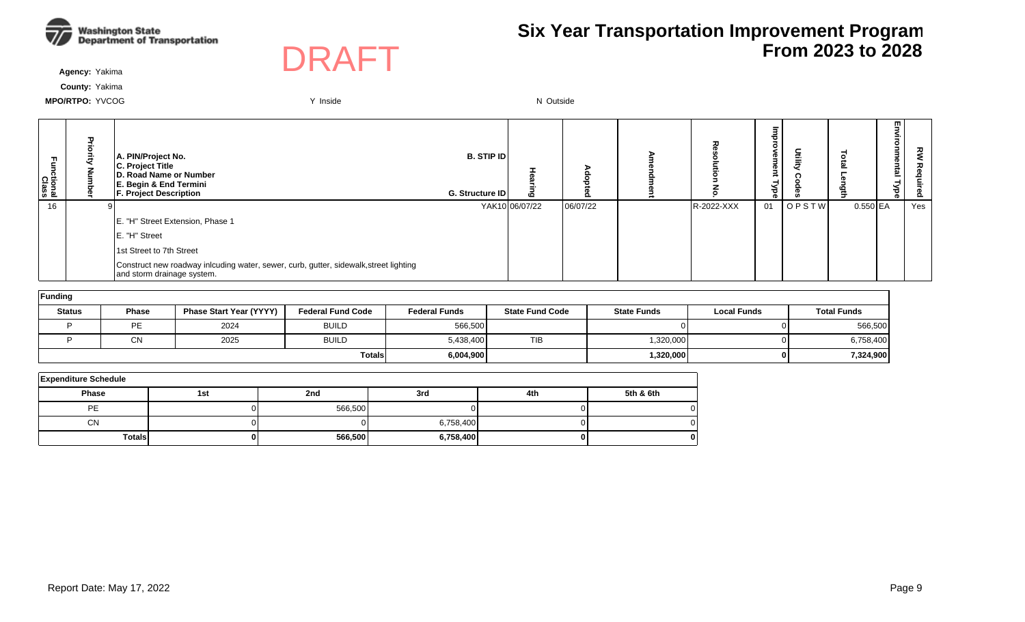



**Agency:** Yakima

**County:** Yakima

| -unctional<br>Class | A. PIN/Project No.<br>C. Project Title<br>D. Road Name or Number<br>E. Begin & End Termini<br><b>F. Project Description</b> | <b>B. STIP ID</b><br>G. Structure ID | $\mathbf{C}$   |          | 观          | 7<br>em<br>Φ<br>$\frac{1}{8}$ | nuite<br>E |            | m.<br>한<br>⊣ | 곟<br>௨ |
|---------------------|-----------------------------------------------------------------------------------------------------------------------------|--------------------------------------|----------------|----------|------------|-------------------------------|------------|------------|--------------|--------|
| 16                  |                                                                                                                             |                                      | YAK10 06/07/22 | 06/07/22 | R-2022-XXX | 01                            | OPSTW      | $0.550$ EA |              | Yes    |
|                     | E. "H" Street Extension, Phase 1                                                                                            |                                      |                |          |            |                               |            |            |              |        |
|                     | E. "H" Street                                                                                                               |                                      |                |          |            |                               |            |            |              |        |
|                     | 1st Street to 7th Street                                                                                                    |                                      |                |          |            |                               |            |            |              |        |
|                     | Construct new roadway inlcuding water, sewer, curb, gutter, sidewalk, street lighting<br>and storm drainage system.         |                                      |                |          |            |                               |            |            |              |        |

| Funding       |              |                                |                          |                      |                        |                    |                    |                    |
|---------------|--------------|--------------------------------|--------------------------|----------------------|------------------------|--------------------|--------------------|--------------------|
| <b>Status</b> | <b>Phase</b> | <b>Phase Start Year (YYYY)</b> | <b>Federal Fund Code</b> | <b>Federal Funds</b> | <b>State Fund Code</b> | <b>State Funds</b> | <b>Local Funds</b> | <b>Total Funds</b> |
|               | PE           | 2024                           | <b>BUILD</b>             | 566,500              |                        |                    |                    | 566,500            |
|               | <b>CN</b>    | 2025                           | <b>BUILD</b>             | 5,438,400            | <b>TIB</b>             | 1,320,000          |                    | 6,758,400          |
|               |              |                                | Totalsl                  | 6,004,900            |                        | 1,320,000          |                    | 7,324,900          |

| <b>Expenditure Schedule</b> |          |         |           |     |           |  |  |  |  |  |  |
|-----------------------------|----------|---------|-----------|-----|-----------|--|--|--|--|--|--|
| <b>Phase</b>                | 1st      | 2nd     | 3rd       | 4th | 5th & 6th |  |  |  |  |  |  |
| PE                          |          | 566,500 |           |     |           |  |  |  |  |  |  |
| <b>CN</b>                   |          |         | 6,758,400 |     |           |  |  |  |  |  |  |
| <b>Totals</b>               | $\Omega$ | 566,500 | 6,758,400 |     | 0         |  |  |  |  |  |  |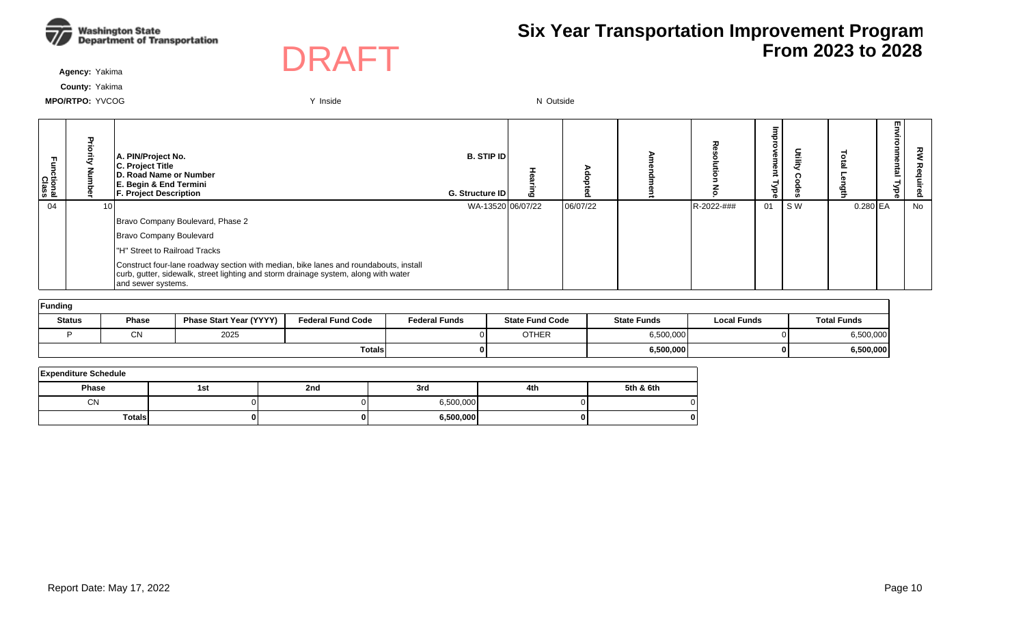



**Agency:** Yakima

**County:** Yakima

| Functional<br>Class | A. PIN/Project No.<br><b>C. Project Title</b><br><b>ID. Road Name or Number</b><br>E. Begin & End Termini<br><b>F. Project Description</b>                                                        | <b>B. STIP IDI</b><br>G. Structure ID | ٥٥ | o        |            | Φ<br>ō<br>$\frac{1}{8}$ | Ē   |            | m<br><u>ត</u> | 꼰<br>௨ |
|---------------------|---------------------------------------------------------------------------------------------------------------------------------------------------------------------------------------------------|---------------------------------------|----|----------|------------|-------------------------|-----|------------|---------------|--------|
| 04                  |                                                                                                                                                                                                   | WA-13520 06/07/22                     |    | 06/07/22 | R-2022-### | 01                      | S W | $0.280$ EA |               | No     |
|                     | Bravo Company Boulevard, Phase 2                                                                                                                                                                  |                                       |    |          |            |                         |     |            |               |        |
|                     | Bravo Company Boulevard                                                                                                                                                                           |                                       |    |          |            |                         |     |            |               |        |
|                     | "H" Street to Railroad Tracks                                                                                                                                                                     |                                       |    |          |            |                         |     |            |               |        |
|                     | Construct four-lane roadway section with median, bike lanes and roundabouts, install<br>curb, gutter, sidewalk, street lighting and storm drainage system, along with water<br>and sewer systems. |                                       |    |          |            |                         |     |            |               |        |

| Funding       |              |                                |                          |                      |                        |                    |                    |                    |  |  |  |  |  |
|---------------|--------------|--------------------------------|--------------------------|----------------------|------------------------|--------------------|--------------------|--------------------|--|--|--|--|--|
| <b>Status</b> | <b>Phase</b> | <b>Phase Start Year (YYYY)</b> | <b>Federal Fund Code</b> | <b>Federal Funds</b> | <b>State Fund Code</b> | <b>State Funds</b> | <b>Local Funds</b> | <b>Total Funds</b> |  |  |  |  |  |
|               | $\sim$<br>◡ᡰ | 2025                           |                          |                      | <b>OTHER</b>           | 6,500,000          |                    | 6,500,000          |  |  |  |  |  |
|               |              |                                | <b>Totals</b>            |                      |                        | 6,500,000          |                    | 6,500,000          |  |  |  |  |  |

| <b>Expenditure Schedule</b> |     |     |           |     |           |  |  |  |  |  |  |  |
|-----------------------------|-----|-----|-----------|-----|-----------|--|--|--|--|--|--|--|
| <b>Phase</b>                | 1st | 2nd | 3rd       | 4th | 5th & 6th |  |  |  |  |  |  |  |
| <b>CN</b>                   |     |     | 6.500.000 |     |           |  |  |  |  |  |  |  |
| Totals                      |     |     | 6,500,000 | o   |           |  |  |  |  |  |  |  |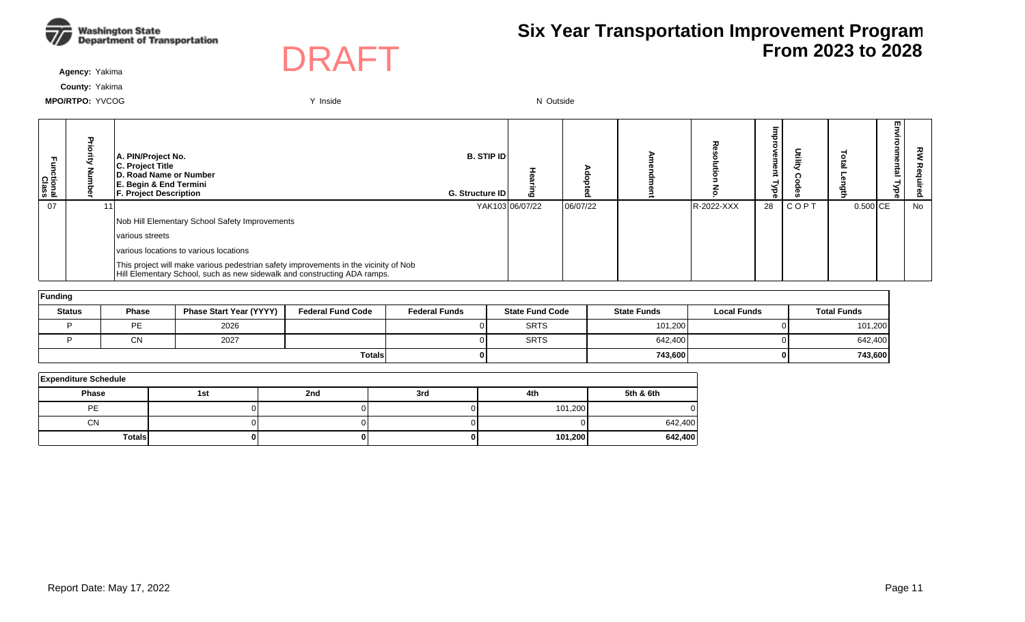



**Agency:** Yakima

**County:** Yakima

| Fa<br>E<br>ctional<br>Class | Ŧ | A. PIN/Project No.<br><b>C. Project Title</b><br><b>ID. Road Name or Number</b><br>E. Begin & End Termini<br><b>F. Project Description</b>                       | <b>B. STIP IDI</b><br><b>G. Structure IDI</b> | ه               |          |            | 73 | 흘    |          | 핗<br>₹.<br>Ö<br>uue<br>intal<br>슇<br>o. | ᅍ  |
|-----------------------------|---|------------------------------------------------------------------------------------------------------------------------------------------------------------------|-----------------------------------------------|-----------------|----------|------------|----|------|----------|-----------------------------------------|----|
| 07                          |   |                                                                                                                                                                  |                                               | YAK103 06/07/22 | 06/07/22 | R-2022-XXX | 28 | COPT | 0.500 CE |                                         | No |
|                             |   | Nob Hill Elementary School Safety Improvements                                                                                                                   |                                               |                 |          |            |    |      |          |                                         |    |
|                             |   | various streets                                                                                                                                                  |                                               |                 |          |            |    |      |          |                                         |    |
|                             |   | various locations to various locations                                                                                                                           |                                               |                 |          |            |    |      |          |                                         |    |
|                             |   | This project will make various pedestrian safety improvements in the vicinity of Nob<br>Hill Elementary School, such as new sidewalk and constructing ADA ramps. |                                               |                 |          |            |    |      |          |                                         |    |

| Funding       |              |                                |                          |                      |                        |                    |                    |                    |  |  |  |  |  |
|---------------|--------------|--------------------------------|--------------------------|----------------------|------------------------|--------------------|--------------------|--------------------|--|--|--|--|--|
| <b>Status</b> | <b>Phase</b> | <b>Phase Start Year (YYYY)</b> | <b>Federal Fund Code</b> | <b>Federal Funds</b> | <b>State Fund Code</b> | <b>State Funds</b> | <b>Local Funds</b> | <b>Total Funds</b> |  |  |  |  |  |
|               | <b>PE</b>    | 2026                           |                          |                      | <b>SRTS</b>            | 101,200            |                    | 101,200            |  |  |  |  |  |
|               | CN           | 2027                           |                          |                      | <b>SRTS</b>            | 642,400            | ΩL                 | 642,400            |  |  |  |  |  |
|               |              |                                | <b>Totals</b>            |                      |                        | 743,600            | 01                 | 743,600            |  |  |  |  |  |

| <b>Expenditure Schedule</b> |     |     |     |         |           |  |  |  |  |  |  |
|-----------------------------|-----|-----|-----|---------|-----------|--|--|--|--|--|--|
| <b>Phase</b>                | 1st | 2nd | 3rd | 4th     | 5th & 6th |  |  |  |  |  |  |
| PE                          |     |     |     | 101,200 |           |  |  |  |  |  |  |
| <b>CN</b>                   |     |     |     |         | 642,400   |  |  |  |  |  |  |
| <b>Totals</b>               | 0   |     |     | 101,200 | 642,400   |  |  |  |  |  |  |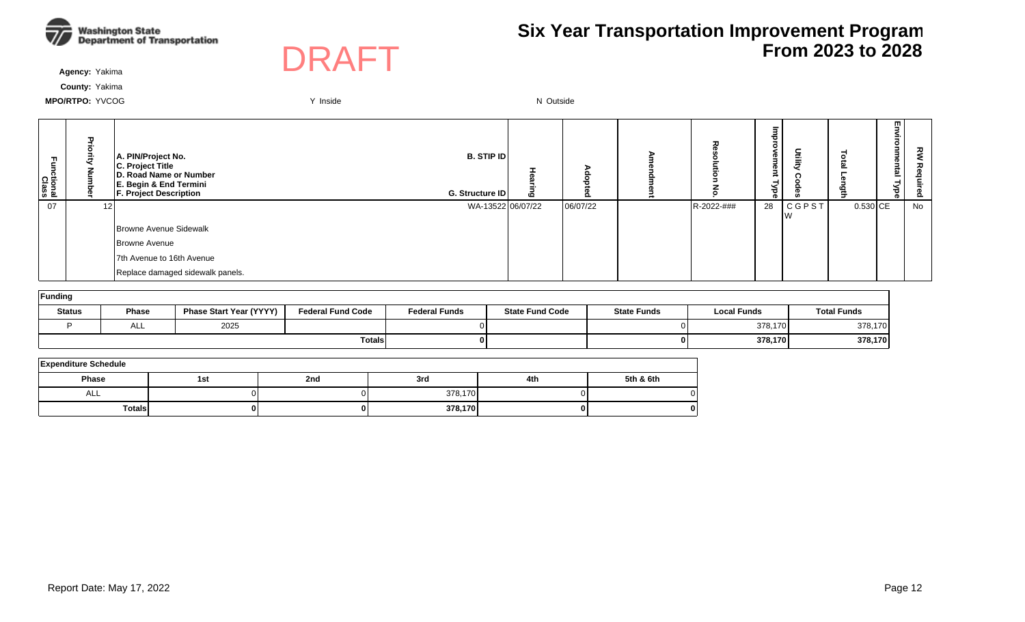



**Agency:** Yakima

**County:** Yakima

| 곱<br><b>Class</b><br>Class |                 | A. PIN/Project No.<br>C. Project Title<br>D. Road Name or Number<br>E. Begin & End Termini<br><b>F. Project Description</b> | <b>B. STIP ID</b><br>G. Structure ID | 6 |          | ᆽ          | P<br>в<br>Φ<br>-<br>శ<br>Φ | Utility      |            | m<br>-<br><u>نه</u> | 짖<br><u>o</u> |
|----------------------------|-----------------|-----------------------------------------------------------------------------------------------------------------------------|--------------------------------------|---|----------|------------|----------------------------|--------------|------------|---------------------|---------------|
| 07                         | 12 <sub>1</sub> |                                                                                                                             | WA-13522 06/07/22                    |   | 06/07/22 | R-2022-### | 28                         | <b>CGPST</b> | $0.530$ CE |                     | No            |
|                            |                 | Browne Avenue Sidewalk                                                                                                      |                                      |   |          |            |                            |              |            |                     |               |
|                            |                 | Browne Avenue                                                                                                               |                                      |   |          |            |                            |              |            |                     |               |
|                            |                 | 7th Avenue to 16th Avenue                                                                                                   |                                      |   |          |            |                            |              |            |                     |               |
|                            |                 | Replace damaged sidewalk panels.                                                                                            |                                      |   |          |            |                            |              |            |                     |               |

| Funding       |              |                                |                          |                      |                        |                    |                    |                    |  |  |  |  |  |
|---------------|--------------|--------------------------------|--------------------------|----------------------|------------------------|--------------------|--------------------|--------------------|--|--|--|--|--|
| <b>Status</b> | <b>Phase</b> | <b>Phase Start Year (YYYY)</b> | <b>Federal Fund Code</b> | <b>Federal Funds</b> | <b>State Fund Code</b> | <b>State Funds</b> | <b>Local Funds</b> | <b>Total Funds</b> |  |  |  |  |  |
|               | ᄉᄂ           | 2025                           |                          |                      |                        |                    | 378,170            | 378,170            |  |  |  |  |  |
|               |              |                                | <b>Totals</b>            |                      |                        | ΩI                 | 378,170            | 378,170            |  |  |  |  |  |

| <b>Expenditure Schedule</b> |     |     |         |     |           |  |  |  |  |  |  |
|-----------------------------|-----|-----|---------|-----|-----------|--|--|--|--|--|--|
| <b>Phase</b>                | 1st | 2nd | 3rd     | 4th | 5th & 6th |  |  |  |  |  |  |
| ALL                         |     |     | 378,170 |     |           |  |  |  |  |  |  |
| <b>Totals</b>               |     |     | 378,170 |     | o         |  |  |  |  |  |  |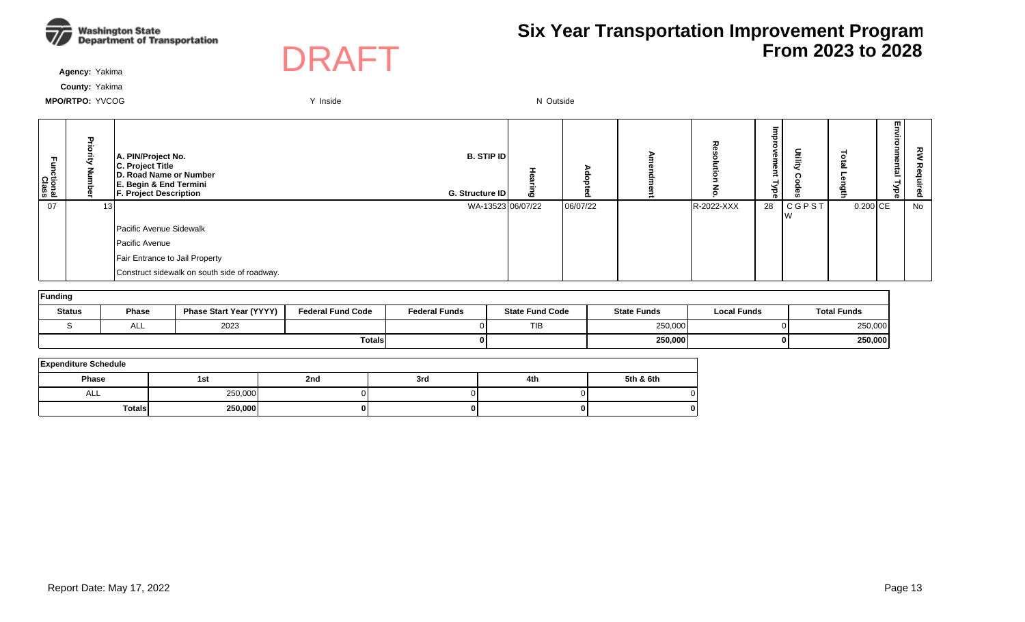



**Agency:** Yakima

**County:** Yakima

| 곤<br>tional:<br>Class |     | A. PIN/Project No.<br>C. Project Title<br>D. Road Name or Number<br>E. Begin & End Termini<br><b>F. Project Description</b> | <b>B. STIP ID</b><br>G. Structure ID | Ō |          | ᆽ          | Ø<br>P<br>-<br>≺<br>ಕ<br>o. | Utilit       |            | m<br>-<br><u>نه</u> | š<br>௨ |
|-----------------------|-----|-----------------------------------------------------------------------------------------------------------------------------|--------------------------------------|---|----------|------------|-----------------------------|--------------|------------|---------------------|--------|
| 07                    | 131 |                                                                                                                             | WA-13523 06/07/22                    |   | 06/07/22 | R-2022-XXX | 28                          | <b>CGPST</b> | $0.200$ CE |                     | No     |
|                       |     | Pacific Avenue Sidewalk                                                                                                     |                                      |   |          |            |                             |              |            |                     |        |
|                       |     | Pacific Avenue                                                                                                              |                                      |   |          |            |                             |              |            |                     |        |
|                       |     | Fair Entrance to Jail Property                                                                                              |                                      |   |          |            |                             |              |            |                     |        |
|                       |     | Construct sidewalk on south side of roadway.                                                                                |                                      |   |          |            |                             |              |            |                     |        |

| Funding       |       |                                |                          |                      |                        |                    |                    |                    |  |  |  |  |  |
|---------------|-------|--------------------------------|--------------------------|----------------------|------------------------|--------------------|--------------------|--------------------|--|--|--|--|--|
| <b>Status</b> | Phase | <b>Phase Start Year (YYYY)</b> | <b>Federal Fund Code</b> | <b>Federal Funds</b> | <b>State Fund Code</b> | <b>State Funds</b> | <b>Local Funds</b> | <b>Total Funds</b> |  |  |  |  |  |
|               | ∼∟∟   | 2023                           |                          |                      | <b>TIB</b>             | 250,000            |                    | 250,000            |  |  |  |  |  |
|               |       |                                | Totals                   | 0 I                  |                        | 250,000            |                    | 250,000            |  |  |  |  |  |

| <b>Expenditure Schedule</b> |         |     |     |     |           |  |  |  |  |  |  |  |
|-----------------------------|---------|-----|-----|-----|-----------|--|--|--|--|--|--|--|
| Phase                       | 1st     | 2nd | 3rd | 4th | 5th & 6th |  |  |  |  |  |  |  |
| ALL                         | 250,000 |     |     |     |           |  |  |  |  |  |  |  |
| <b>Totals</b>               | 250,000 | 01  |     |     | 0         |  |  |  |  |  |  |  |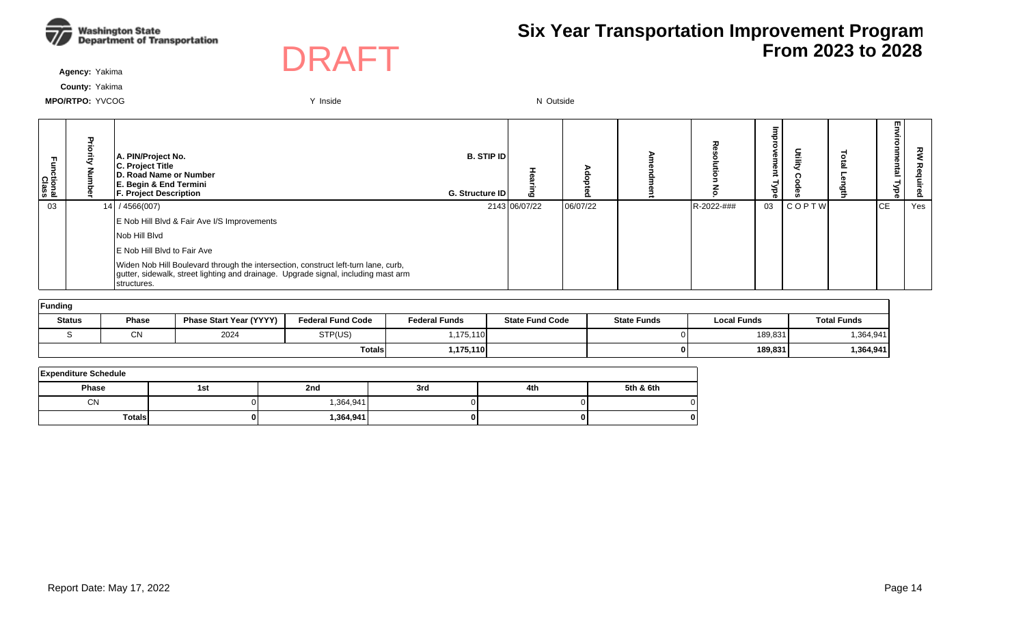



**Agency:** Yakima

**County:** Yakima

| Fa<br>E<br>ctional<br>Class | п. | A. PIN/Project No.<br>C. Project Title<br><b>ID. Road Name or Number</b><br>E. Begin & End Termini<br><b>F. Project Description</b>                                                     | <b>B. STIP IDI</b><br>G. Structure ID | 10            | $\Omega$ |            | Φ<br>క<br>o. |       | ≏ | m<br>ia<br>Eg<br>ಕ | ᇰ<br>௨ |
|-----------------------------|----|-----------------------------------------------------------------------------------------------------------------------------------------------------------------------------------------|---------------------------------------|---------------|----------|------------|--------------|-------|---|--------------------|--------|
| 03                          |    | $14$ / 4566(007)                                                                                                                                                                        |                                       | 2143 06/07/22 | 06/07/22 | R-2022-### | 03           | COPTW |   | <b>CE</b>          | Yes    |
|                             |    | E Nob Hill Blvd & Fair Ave I/S Improvements                                                                                                                                             |                                       |               |          |            |              |       |   |                    |        |
|                             |    | Nob Hill Blvd                                                                                                                                                                           |                                       |               |          |            |              |       |   |                    |        |
|                             |    | <b>IE Nob Hill Blvd to Fair Ave</b>                                                                                                                                                     |                                       |               |          |            |              |       |   |                    |        |
|                             |    | Widen Nob Hill Boulevard through the intersection, construct left-turn lane, curb,<br>gutter, sidewalk, street lighting and drainage. Upgrade signal, including mast arm<br>structures. |                                       |               |          |            |              |       |   |                    |        |

| Funding       |              |                                |                          |                      |                        |                    |                    |                    |  |  |  |  |  |
|---------------|--------------|--------------------------------|--------------------------|----------------------|------------------------|--------------------|--------------------|--------------------|--|--|--|--|--|
| <b>Status</b> | <b>Phase</b> | <b>Phase Start Year (YYYY)</b> | <b>Federal Fund Code</b> | <b>Federal Funds</b> | <b>State Fund Code</b> | <b>State Funds</b> | <b>Local Funds</b> | <b>Total Funds</b> |  |  |  |  |  |
|               | $\sim$<br>UΝ | 2024                           | STP(US)                  | 1,175,110            |                        |                    | 189,831            | 1,364,941          |  |  |  |  |  |
|               |              |                                | Totals                   | 1,175,110            |                        |                    | 189,831            | 1,364,941          |  |  |  |  |  |

| <b>Expenditure Schedule</b> |     |            |     |     |           |  |  |  |  |  |  |
|-----------------------------|-----|------------|-----|-----|-----------|--|--|--|--|--|--|
| Phase                       | 1st | 2nd        | 3rd | 4th | 5th & 6th |  |  |  |  |  |  |
| <b>CN</b>                   |     | 364,941,   |     |     |           |  |  |  |  |  |  |
| <b>Totals</b>               |     | ا 364,941. | 01  | 01  | o         |  |  |  |  |  |  |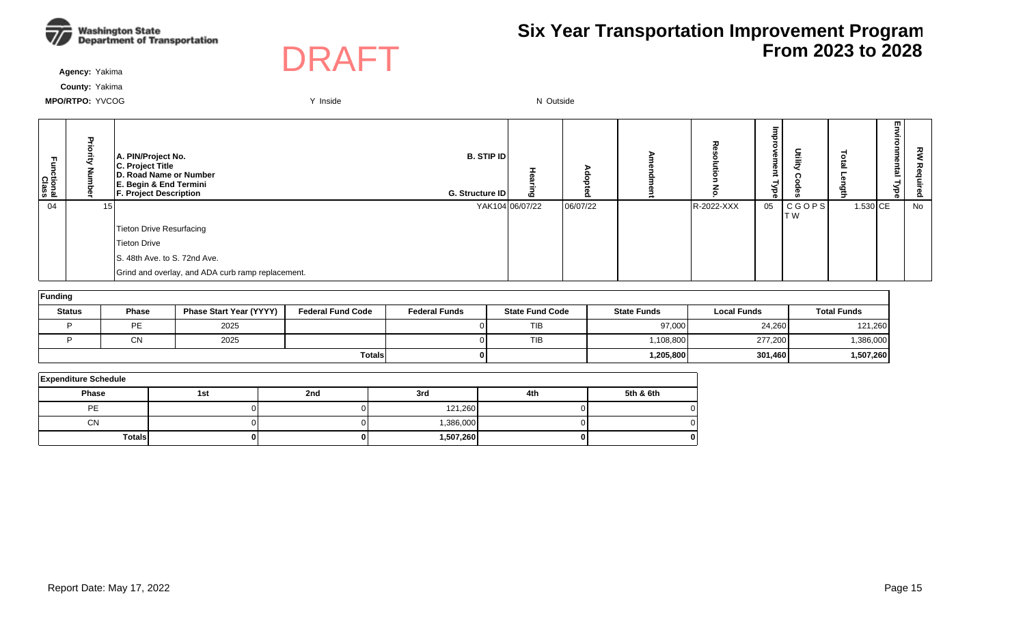



**Agency:** Yakima

**County:** Yakima

| Ξ.<br>ctional<br>Class |                 | A. PIN/Project No.<br>C. Project Title<br>D. Road Name or Number<br>E. Begin & End Termini<br><b>F. Project Description</b> | <b>B.</b> STIP ID<br>G. Structure ID | 6               |          | 고          | Ø<br>P<br>э<br>-<br>శ<br>Φ | Utility        |            | m.<br>-<br><u>ی</u> | š<br>ᄌ<br>ဥ |
|------------------------|-----------------|-----------------------------------------------------------------------------------------------------------------------------|--------------------------------------|-----------------|----------|------------|----------------------------|----------------|------------|---------------------|-------------|
| 04                     | 15 <sup>1</sup> |                                                                                                                             |                                      | YAK104 06/07/22 | 06/07/22 | R-2022-XXX | 05                         | CGOPS <br>IT W | $1.530$ CE |                     | No          |
|                        |                 | Tieton Drive Resurfacing                                                                                                    |                                      |                 |          |            |                            |                |            |                     |             |
|                        |                 | Tieton Drive                                                                                                                |                                      |                 |          |            |                            |                |            |                     |             |
|                        |                 | S. 48th Ave. to S. 72nd Ave.                                                                                                |                                      |                 |          |            |                            |                |            |                     |             |
|                        |                 | Grind and overlay, and ADA curb ramp replacement.                                                                           |                                      |                 |          |            |                            |                |            |                     |             |

| Funding       |              |                                |                          |                      |                        |                    |                    |                    |  |  |  |  |
|---------------|--------------|--------------------------------|--------------------------|----------------------|------------------------|--------------------|--------------------|--------------------|--|--|--|--|
| <b>Status</b> | <b>Phase</b> | <b>Phase Start Year (YYYY)</b> | <b>Federal Fund Code</b> | <b>Federal Funds</b> | <b>State Fund Code</b> | <b>State Funds</b> | <b>Local Funds</b> | <b>Total Funds</b> |  |  |  |  |
|               | PE           | 2025                           |                          |                      | TIB                    | 97,000             | 24,260             | 121,260            |  |  |  |  |
|               | СN           | 2025                           |                          |                      | <b>TIB</b>             | 1,108,800          | 277,200            | 1,386,000          |  |  |  |  |
|               |              |                                | <b>Totals</b>            |                      |                        | 1,205,800          | 301,460            | 1,507,260          |  |  |  |  |

| <b>Expenditure Schedule</b> |     |     |           |     |           |  |  |  |  |  |  |
|-----------------------------|-----|-----|-----------|-----|-----------|--|--|--|--|--|--|
| <b>Phase</b>                | 1st | 2nd | 3rd       | 4th | 5th & 6th |  |  |  |  |  |  |
| <b>PE</b>                   |     |     | 121,260   |     |           |  |  |  |  |  |  |
| <b>CN</b>                   |     |     | 1,386,000 |     |           |  |  |  |  |  |  |
| <b>Totals</b>               | 0   |     | 1,507,260 | o   |           |  |  |  |  |  |  |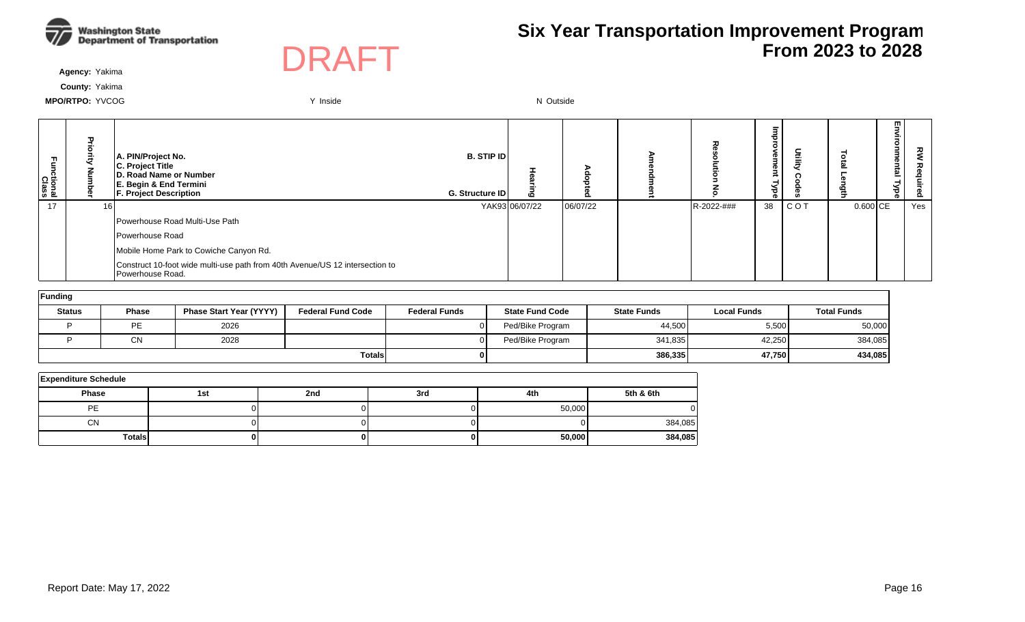



**Agency:** Yakima

**County:** Yakima

| Functional<br>Class | Pric | A. PIN/Project No.<br>C. Project Title<br>D. Road Name or Number<br>E. Begin & End Termini<br><b>F. Project Description</b> | <b>B. STIP ID</b><br>G. Structure ID | 6              | o        | ᆽ          | Φ<br>œ<br>క<br>ō. |       |            | m.<br>효 | ᇰ<br><u>8</u> |
|---------------------|------|-----------------------------------------------------------------------------------------------------------------------------|--------------------------------------|----------------|----------|------------|-------------------|-------|------------|---------|---------------|
| 17                  | 16 I |                                                                                                                             |                                      | YAK93 06/07/22 | 06/07/22 | R-2022-### | 38                | C O T | $0.600$ CE |         | Yes           |
|                     |      | Powerhouse Road Multi-Use Path                                                                                              |                                      |                |          |            |                   |       |            |         |               |
|                     |      | Powerhouse Road                                                                                                             |                                      |                |          |            |                   |       |            |         |               |
|                     |      | Mobile Home Park to Cowiche Canyon Rd.                                                                                      |                                      |                |          |            |                   |       |            |         |               |
|                     |      | Construct 10-foot wide multi-use path from 40th Avenue/US 12 intersection to<br>Powerhouse Road.                            |                                      |                |          |            |                   |       |            |         |               |

| Funding       |                 |                                |                          |                      |                        |                    |                    |                    |  |  |  |  |
|---------------|-----------------|--------------------------------|--------------------------|----------------------|------------------------|--------------------|--------------------|--------------------|--|--|--|--|
| <b>Status</b> | <b>Phase</b>    | <b>Phase Start Year (YYYY)</b> | <b>Federal Fund Code</b> | <b>Federal Funds</b> | <b>State Fund Code</b> | <b>State Funds</b> | <b>Local Funds</b> | <b>Total Funds</b> |  |  |  |  |
|               | PE              | 2026                           |                          |                      | Ped/Bike Program       | 44,500             | 5,500              | 50,000             |  |  |  |  |
|               | $\bigcap$<br>◡◝ | 2028                           |                          |                      | Ped/Bike Program       | 341,835            | 42,250             | 384,085            |  |  |  |  |
|               |                 |                                | <b>Totals</b>            |                      |                        | 386,335            | 47,750             | 434,085            |  |  |  |  |

| <b>Expenditure Schedule</b> |     |     |     |        |           |  |  |  |  |  |  |
|-----------------------------|-----|-----|-----|--------|-----------|--|--|--|--|--|--|
| <b>Phase</b>                | 1st | 2nd | 3rd | 4th    | 5th & 6th |  |  |  |  |  |  |
| PE                          |     |     |     | 50,000 |           |  |  |  |  |  |  |
| <b>CN</b>                   |     |     |     |        | 384,085   |  |  |  |  |  |  |
| <b>Totals</b>               | 0   |     |     | 50,000 | 384,085   |  |  |  |  |  |  |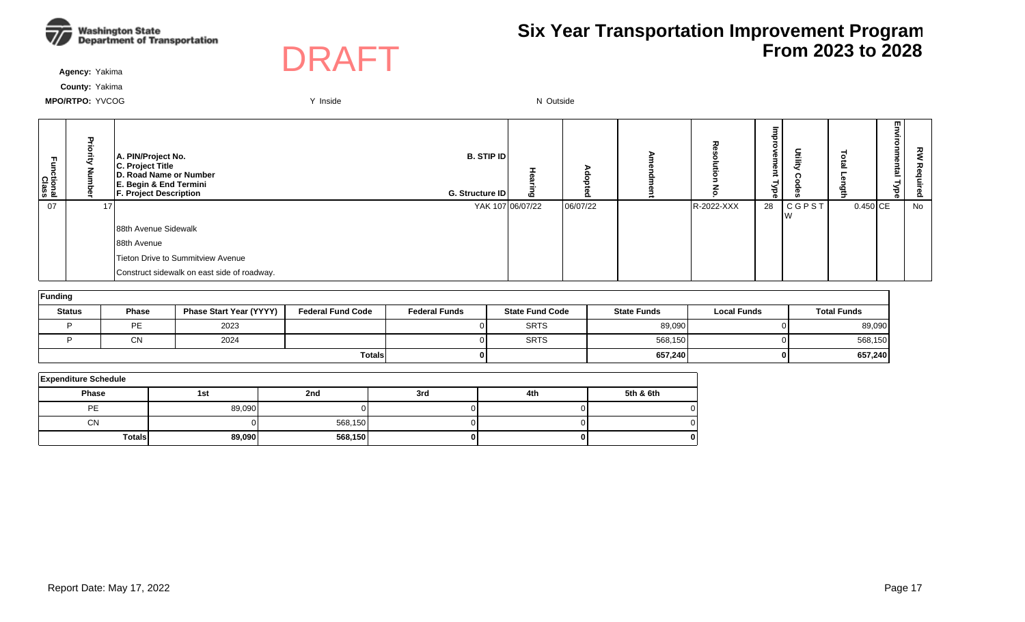



**Agency:** Yakima

**County:** Yakima

| Functional<br>Class | ᠊ᠣ | A. PIN/Project No.<br>C. Project Title<br>D. Road Name or Number<br>E. Begin & End Termini<br><b>F. Project Description</b> | <b>B. STIP ID</b><br>G. Structure ID | <b>CO</b> |          |            | ъ<br>Φ<br>з<br>നാ.<br>$\bar{ }$<br>ಕ<br>ര | 言            |            | m<br><u>한</u><br>⊣<br>Ѣ | 짖<br>Õ. |
|---------------------|----|-----------------------------------------------------------------------------------------------------------------------------|--------------------------------------|-----------|----------|------------|-------------------------------------------|--------------|------------|-------------------------|---------|
| 07                  |    |                                                                                                                             | YAK 107 06/07/22                     |           | 06/07/22 | R-2022-XXX | 28                                        | <b>CGPST</b> | $0.450$ CE |                         | No      |
|                     |    | 88th Avenue Sidewalk                                                                                                        |                                      |           |          |            |                                           |              |            |                         |         |
|                     |    | 88th Avenue                                                                                                                 |                                      |           |          |            |                                           |              |            |                         |         |
|                     |    | Tieton Drive to Summitview Avenue                                                                                           |                                      |           |          |            |                                           |              |            |                         |         |
|                     |    | Construct sidewalk on east side of roadway.                                                                                 |                                      |           |          |            |                                           |              |            |                         |         |

| Funding       |               |                                |                          |                      |                        |                    |                    |                    |
|---------------|---------------|--------------------------------|--------------------------|----------------------|------------------------|--------------------|--------------------|--------------------|
| <b>Status</b> | Phase         | <b>Phase Start Year (YYYY)</b> | <b>Federal Fund Code</b> | <b>Federal Funds</b> | <b>State Fund Code</b> | <b>State Funds</b> | <b>Local Funds</b> | <b>Total Funds</b> |
|               | PE            | 2023                           |                          |                      | <b>SRTS</b>            | 89,090             |                    | 89,090             |
|               | $\cap$<br>v۱۷ | 2024                           |                          |                      | <b>SRTS</b>            | 568,150            |                    | 568,150            |
|               |               |                                | <b>Totals</b>            |                      |                        | 657,240            |                    | 657,240            |

| <b>Expenditure Schedule</b> |        |         |     |     |           |  |  |  |  |  |  |
|-----------------------------|--------|---------|-----|-----|-----------|--|--|--|--|--|--|
| <b>Phase</b>                | 1st    | 2nd     | 3rd | 4th | 5th & 6th |  |  |  |  |  |  |
| PE                          | 89,090 |         |     |     |           |  |  |  |  |  |  |
| <b>CN</b>                   |        | 568,150 |     |     |           |  |  |  |  |  |  |
| <b>Totals</b>               | 89,090 | 568,150 |     |     |           |  |  |  |  |  |  |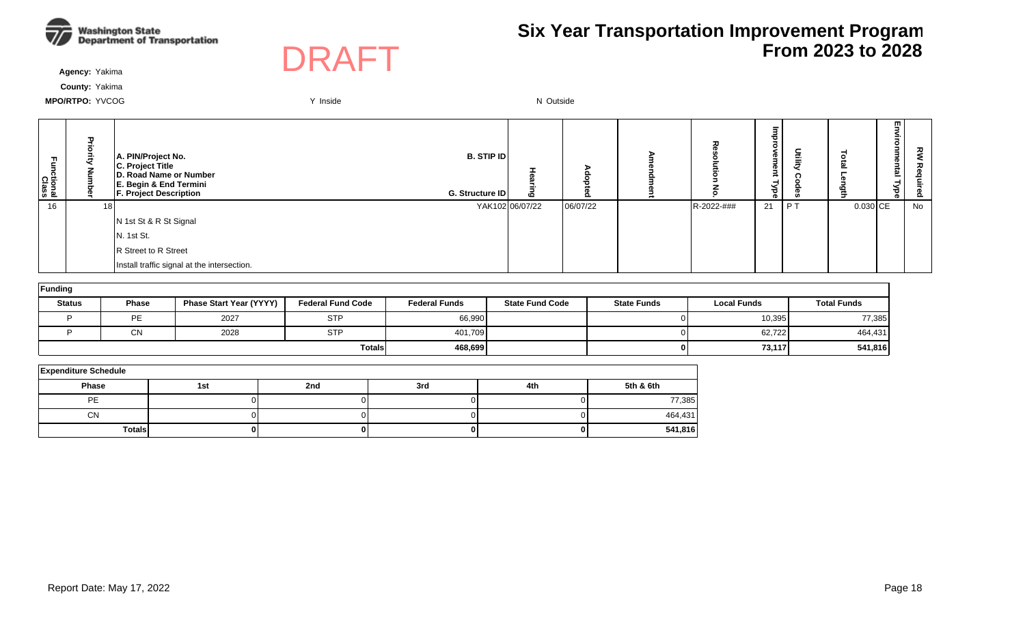



**Agency:** Yakima

**County:** Yakima

| Ę<br>ctional<br>Class | τ<br>곳 | A. PIN/Project No.<br>C. Project Title<br>D. Road Name or Number<br>E. Begin & End Termini<br><b>F. Project Description</b><br>G. Structure ID | <b>B.</b> STIP ID | ه               |          |            | ᇢ<br>$\circ$<br><b>o</b><br>Type<br> | 돌     | ē          | 핗<br>vironmental<br>Type | 깋  |
|-----------------------|--------|------------------------------------------------------------------------------------------------------------------------------------------------|-------------------|-----------------|----------|------------|--------------------------------------|-------|------------|--------------------------|----|
| 16                    | 18 I   |                                                                                                                                                |                   | YAK102 06/07/22 | 06/07/22 | R-2022-### | 21                                   | $P$ T | $0.030$ CE |                          | No |
|                       |        | N 1st St & R St Signal                                                                                                                         |                   |                 |          |            |                                      |       |            |                          |    |
|                       |        | N. 1st St.                                                                                                                                     |                   |                 |          |            |                                      |       |            |                          |    |
|                       |        | R Street to R Street                                                                                                                           |                   |                 |          |            |                                      |       |            |                          |    |
|                       |        | Install traffic signal at the intersection.                                                                                                    |                   |                 |          |            |                                      |       |            |                          |    |

| Funding       |              |                                |                          |                      |                        |                    |                    |                    |  |  |  |  |  |
|---------------|--------------|--------------------------------|--------------------------|----------------------|------------------------|--------------------|--------------------|--------------------|--|--|--|--|--|
| <b>Status</b> | <b>Phase</b> | <b>Phase Start Year (YYYY)</b> | <b>Federal Fund Code</b> | <b>Federal Funds</b> | <b>State Fund Code</b> | <b>State Funds</b> | <b>Local Funds</b> | <b>Total Funds</b> |  |  |  |  |  |
|               | PE           | 2027                           | <b>STP</b>               | 66,990               |                        |                    | 10,395             | 77,385             |  |  |  |  |  |
|               | <b>CN</b>    | 2028                           | <b>STP</b>               | 401,709              |                        |                    | 62,722             | 464,431            |  |  |  |  |  |
|               |              |                                | <b>Totals</b>            | 468,699              |                        |                    | 73,117             | 541,816            |  |  |  |  |  |

| <b>Expenditure Schedule</b> |     |     |     |     |           |  |  |  |  |  |  |
|-----------------------------|-----|-----|-----|-----|-----------|--|--|--|--|--|--|
| <b>Phase</b>                | 1st | 2nd | 3rd | 4th | 5th & 6th |  |  |  |  |  |  |
| PE                          |     |     |     |     | 77,385    |  |  |  |  |  |  |
| <b>CN</b>                   |     |     |     |     | 464,431   |  |  |  |  |  |  |
| <b>Totals</b>               |     |     |     |     | 541,816   |  |  |  |  |  |  |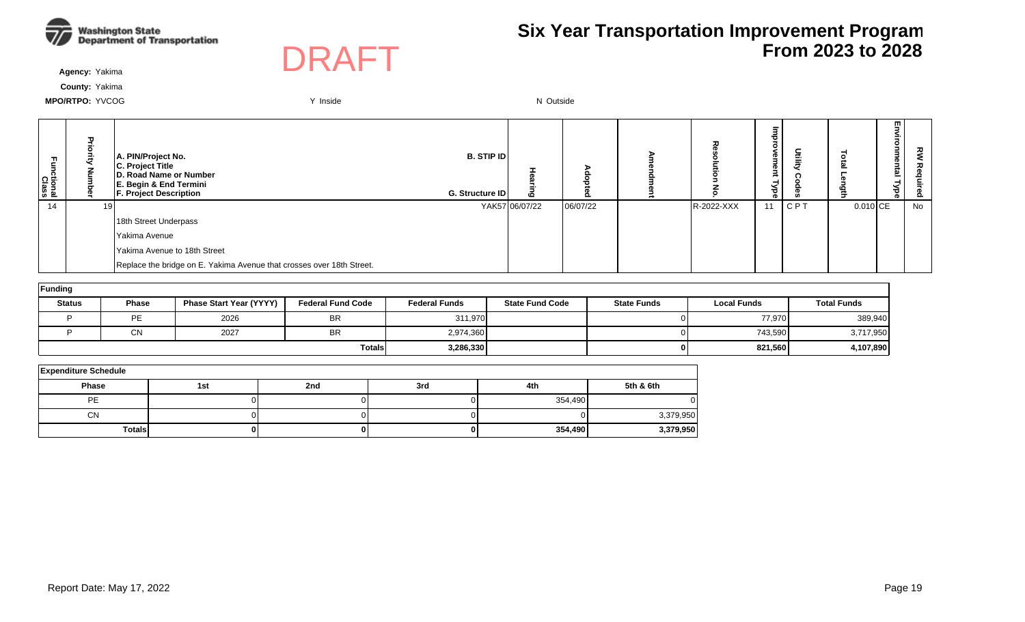



**Agency:** Yakima

**County:** Yakima

| ctional<br>Class | 고<br>공<br>ā | A. PIN/Project No.<br>C. Project Title<br><b>D. Road Name or Number</b><br>E. Begin & End Termini<br><b>F. Project Description</b> | <b>B. STIP ID</b><br>G. Structure ID | 6              |          |            | ᇢ<br>$\circ$<br>≏<br>ൈ<br><b>Type</b> |     |            | 핗<br>ξ.<br>onmental<br><b>Type</b> | ᅍ  |
|------------------|-------------|------------------------------------------------------------------------------------------------------------------------------------|--------------------------------------|----------------|----------|------------|---------------------------------------|-----|------------|------------------------------------|----|
| 14               | 19          |                                                                                                                                    |                                      | YAK57 06/07/22 | 06/07/22 | R-2022-XXX | 11                                    | CPT | $0.010$ CE |                                    | No |
|                  |             | 18th Street Underpass                                                                                                              |                                      |                |          |            |                                       |     |            |                                    |    |
|                  |             | Yakima Avenue                                                                                                                      |                                      |                |          |            |                                       |     |            |                                    |    |
|                  |             | l Yakima Avenue to 18th Street                                                                                                     |                                      |                |          |            |                                       |     |            |                                    |    |
|                  |             | Replace the bridge on E. Yakima Avenue that crosses over 18th Street.                                                              |                                      |                |          |            |                                       |     |            |                                    |    |

| Funding       |              |                         |                          |                      |                        |                    |                    |                    |  |  |  |  |  |
|---------------|--------------|-------------------------|--------------------------|----------------------|------------------------|--------------------|--------------------|--------------------|--|--|--|--|--|
| <b>Status</b> | <b>Phase</b> | Phase Start Year (YYYY) | <b>Federal Fund Code</b> | <b>Federal Funds</b> | <b>State Fund Code</b> | <b>State Funds</b> | <b>Local Funds</b> | <b>Total Funds</b> |  |  |  |  |  |
|               | <b>PE</b>    | 2026                    | <b>BR</b>                | 311,970              |                        |                    | 77.970             | 389,940            |  |  |  |  |  |
|               | <b>CN</b>    | 2027                    | <b>BR</b>                | 2,974,360            |                        |                    | 743,590            | 3,717,950          |  |  |  |  |  |
|               |              |                         | <b>Totals</b>            | 3,286,330            |                        |                    | 821,560            | 4,107,890          |  |  |  |  |  |

| <b>Expenditure Schedule</b> |     |     |     |         |           |  |  |  |  |  |  |  |
|-----------------------------|-----|-----|-----|---------|-----------|--|--|--|--|--|--|--|
| Phase                       | 1st | 2nd | 3rd | 4th     | 5th & 6th |  |  |  |  |  |  |  |
| PE                          |     |     |     | 354,490 |           |  |  |  |  |  |  |  |
| <b>CN</b>                   |     |     |     |         | 3,379,950 |  |  |  |  |  |  |  |
| <b>Totals</b>               |     |     |     | 354,490 | 3,379,950 |  |  |  |  |  |  |  |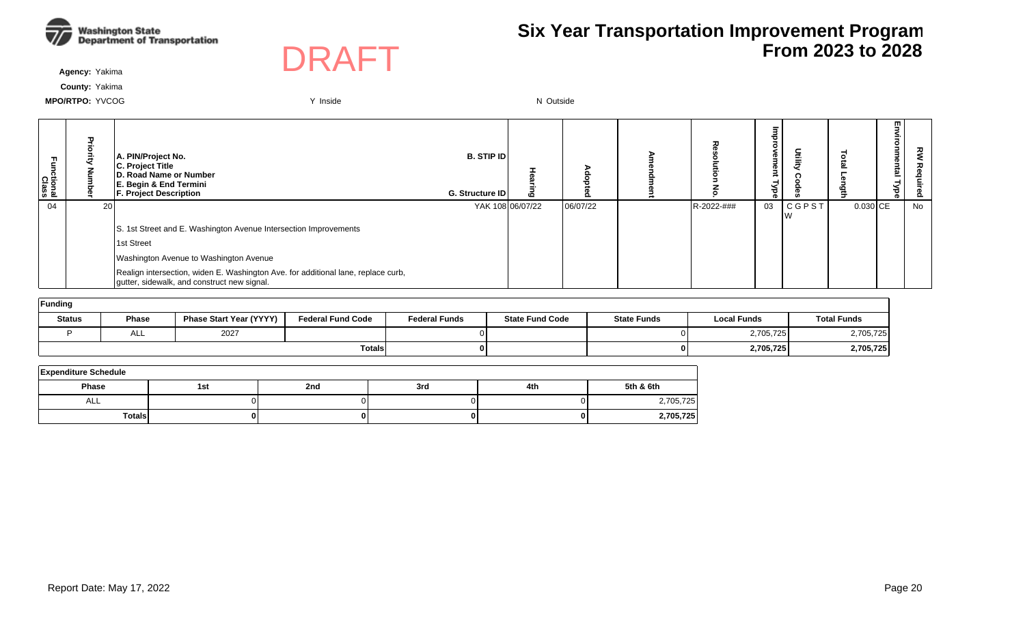



**Agency:** Yakima

**County:** Yakima

| Functional<br>Class | ᇃ  | A. PIN/Project No.<br>C. Project Title<br>D. Road Name or Number<br>E. Begin & End Termini<br><b>F. Project Description</b>      | <b>B. STIP ID</b><br>G. Structure ID | ဖ                |          |            | ᄒ<br>$\circ$<br><b>rement</b><br>⋜<br>है | Utilit)      |            | m. | ௨  |
|---------------------|----|----------------------------------------------------------------------------------------------------------------------------------|--------------------------------------|------------------|----------|------------|------------------------------------------|--------------|------------|----|----|
| 04                  | 20 |                                                                                                                                  |                                      | YAK 108 06/07/22 | 06/07/22 | R-2022-### | 03                                       | <b>CGPST</b> | $0.030$ CE |    | No |
|                     |    | S. 1st Street and E. Washington Avenue Intersection Improvements                                                                 |                                      |                  |          |            |                                          |              |            |    |    |
|                     |    | 1st Street                                                                                                                       |                                      |                  |          |            |                                          |              |            |    |    |
|                     |    | Washington Avenue to Washington Avenue                                                                                           |                                      |                  |          |            |                                          |              |            |    |    |
|                     |    | Realign intersection, widen E. Washington Ave. for additional lane, replace curb,<br>gutter, sidewalk, and construct new signal. |                                      |                  |          |            |                                          |              |            |    |    |
| Funding             |    |                                                                                                                                  |                                      |                  |          |            |                                          |              |            |    |    |

| Status | <b>Phase</b> | <b>Phase Start Year (YYYY)</b> | <b>Federal Fund Code</b> | <b>Federal Funds</b> | <b>State Fund Code</b> | <b>State Funds</b> | <b>Local Funds</b> | <b>Total Funds</b> |
|--------|--------------|--------------------------------|--------------------------|----------------------|------------------------|--------------------|--------------------|--------------------|
|        | ALL          | 2027                           |                          |                      |                        |                    | 2,705,725          | 2,705,725          |
|        |              |                                | <b>Totals</b>            |                      |                        |                    | 2,705,725          | 2,705,725          |

| <b>Expenditure Schedule</b> |     |     |     |     |           |  |  |  |  |  |  |
|-----------------------------|-----|-----|-----|-----|-----------|--|--|--|--|--|--|
| <b>Phase</b>                | 1st | 2nd | 3rd | 4th | 5th & 6th |  |  |  |  |  |  |
| ALL                         |     |     |     |     | 2,705,725 |  |  |  |  |  |  |
| Totals                      | 0   |     |     |     | 2,705,725 |  |  |  |  |  |  |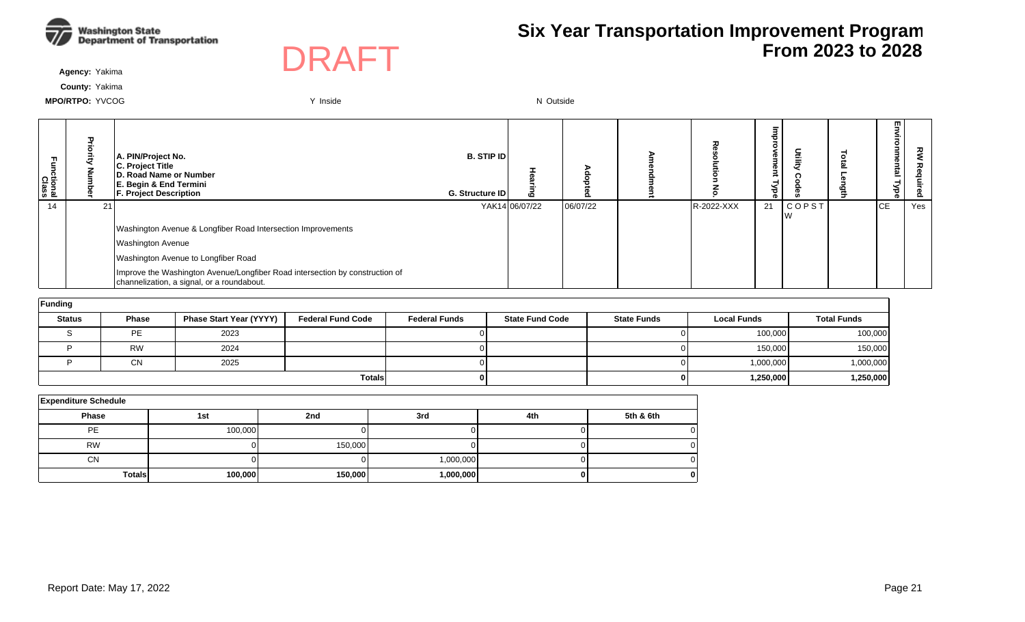



**Agency:** Yakima

**County:** Yakima

| tional<br>Class | ╖  | A. PIN/Project No.<br>C. Project Title<br><b>ID. Road Name or Number</b><br>E. Begin & End Termini<br><b>F. Project Description</b> | <b>B. STIP IDI</b><br>G. Structure ID | m              |          |            | Φ<br>Φ<br>ರ<br>Ф | Utilit)      | m<br>உ    | 丒<br>௨ |
|-----------------|----|-------------------------------------------------------------------------------------------------------------------------------------|---------------------------------------|----------------|----------|------------|------------------|--------------|-----------|--------|
| 14              | 21 |                                                                                                                                     |                                       | YAK14 06/07/22 | 06/07/22 | R-2022-XXX | 21               | <b>COPST</b> | <b>CE</b> | Yes    |
|                 |    | Washington Avenue & Longfiber Road Intersection Improvements                                                                        |                                       |                |          |            |                  |              |           |        |
|                 |    | <b>Washington Avenue</b>                                                                                                            |                                       |                |          |            |                  |              |           |        |
|                 |    | Washington Avenue to Longfiber Road                                                                                                 |                                       |                |          |            |                  |              |           |        |
|                 |    | Improve the Washington Avenue/Longfiber Road intersection by construction of<br>channelization, a signal, or a roundabout.          |                                       |                |          |            |                  |              |           |        |

| Funding       |              |                                |                          |                      |                        |                    |                    |                    |  |  |  |  |  |
|---------------|--------------|--------------------------------|--------------------------|----------------------|------------------------|--------------------|--------------------|--------------------|--|--|--|--|--|
| <b>Status</b> | <b>Phase</b> | <b>Phase Start Year (YYYY)</b> | <b>Federal Fund Code</b> | <b>Federal Funds</b> | <b>State Fund Code</b> | <b>State Funds</b> | <b>Local Funds</b> | <b>Total Funds</b> |  |  |  |  |  |
|               | PE           | 2023                           |                          |                      |                        |                    | 100,000            | 100,000            |  |  |  |  |  |
|               | <b>RW</b>    | 2024                           |                          |                      |                        |                    | 150,000            | 150,000            |  |  |  |  |  |
|               | <b>CN</b>    | 2025                           |                          |                      |                        |                    | 1,000,000          | 1,000,000          |  |  |  |  |  |
|               |              |                                | <b>Totals</b>            |                      |                        | 01                 | 1,250,000          | 1,250,000          |  |  |  |  |  |

| <b>Expenditure Schedule</b> |         |         |           |     |           |  |  |  |  |  |  |
|-----------------------------|---------|---------|-----------|-----|-----------|--|--|--|--|--|--|
| Phase                       | 1st     | 2nd     | 3rd       | 4th | 5th & 6th |  |  |  |  |  |  |
| PE                          | 100,000 |         |           |     |           |  |  |  |  |  |  |
| <b>RW</b>                   |         | 150,000 |           |     |           |  |  |  |  |  |  |
| <b>CN</b>                   |         |         | 1,000,000 |     |           |  |  |  |  |  |  |
| <b>Totals</b>               | 100,000 | 150,000 | 1,000,000 |     |           |  |  |  |  |  |  |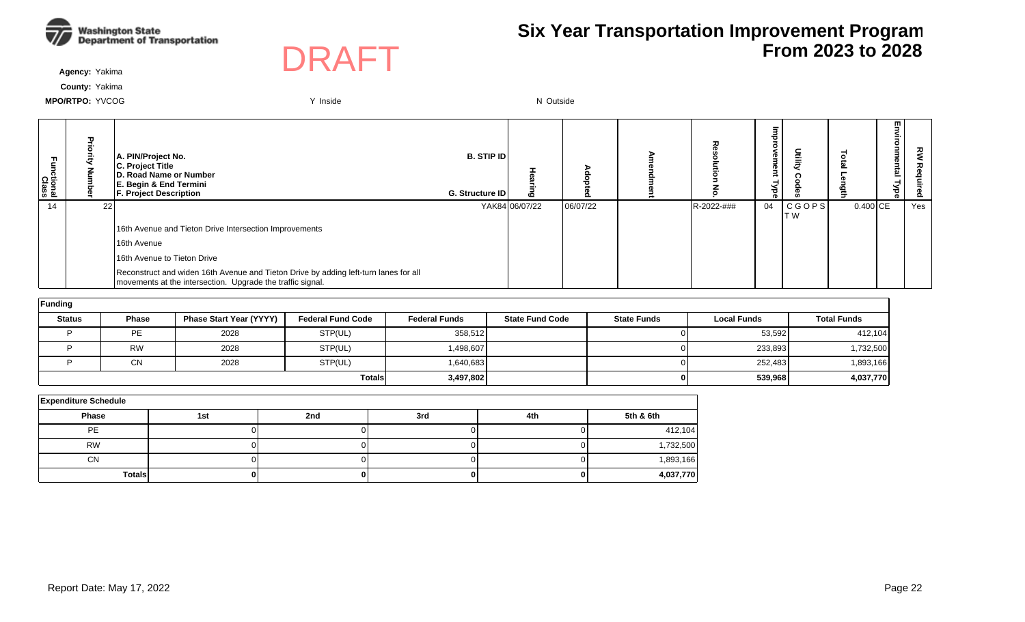



**Agency:** Yakima

**County:** Yakima

| m,<br>ctional<br>Class |    | A. PIN/Project No.<br>C. Project Title<br>D. Road Name or Number<br>E. Begin & End Termini<br><b>F. Project Description</b>                        | <b>B. STIP IDI</b><br>G. Structure ID | മ              |          |            | Эů<br>Ō<br>≺<br>ರ<br>œ | Utility        |            | m<br>= | ខ<br>௨ |
|------------------------|----|----------------------------------------------------------------------------------------------------------------------------------------------------|---------------------------------------|----------------|----------|------------|------------------------|----------------|------------|--------|--------|
| 14                     | 22 |                                                                                                                                                    |                                       | YAK84 06/07/22 | 06/07/22 | R-2022-### | 04                     | CGOPS <br>IT W | $0.400$ CE |        | Yes    |
|                        |    | 16th Avenue and Tieton Drive Intersection Improvements                                                                                             |                                       |                |          |            |                        |                |            |        |        |
|                        |    | 16th Avenue                                                                                                                                        |                                       |                |          |            |                        |                |            |        |        |
|                        |    | 16th Avenue to Tieton Drive                                                                                                                        |                                       |                |          |            |                        |                |            |        |        |
|                        |    | Reconstruct and widen 16th Avenue and Tieton Drive by adding left-turn lanes for all<br>movements at the intersection. Upgrade the traffic signal. |                                       |                |          |            |                        |                |            |        |        |

| Funding       |              |                         |                          |                      |                        |                    |                    |                    |
|---------------|--------------|-------------------------|--------------------------|----------------------|------------------------|--------------------|--------------------|--------------------|
| <b>Status</b> | <b>Phase</b> | Phase Start Year (YYYY) | <b>Federal Fund Code</b> | <b>Federal Funds</b> | <b>State Fund Code</b> | <b>State Funds</b> | <b>Local Funds</b> | <b>Total Funds</b> |
|               | PE           | 2028                    | STP(UL)                  | 358,512              |                        |                    | 53,592             | 412,104            |
|               | <b>RW</b>    | 2028                    | STP(UL)                  | 498,607              |                        | ΟI                 | 233,893            | 1,732,500          |
|               | <b>CN</b>    | 2028                    | STP(UL)                  | 1,640,683            |                        | OΙ                 | 252,483            | 1,893,166          |
|               |              |                         | <b>Totals</b>            | 3,497,802            |                        | 01                 | 539,968            | 4,037,770          |

| <b>Expenditure Schedule</b> |     |     |     |     |           |  |  |  |  |  |  |
|-----------------------------|-----|-----|-----|-----|-----------|--|--|--|--|--|--|
| Phase                       | 1st | 2nd | 3rd | 4th | 5th & 6th |  |  |  |  |  |  |
| <b>PE</b>                   |     |     |     |     | 412,104   |  |  |  |  |  |  |
| <b>RW</b>                   |     |     |     |     | 1,732,500 |  |  |  |  |  |  |
| <b>CN</b>                   |     |     |     |     | 1,893,166 |  |  |  |  |  |  |
| <b>Totals</b>               |     |     |     |     | 4,037,770 |  |  |  |  |  |  |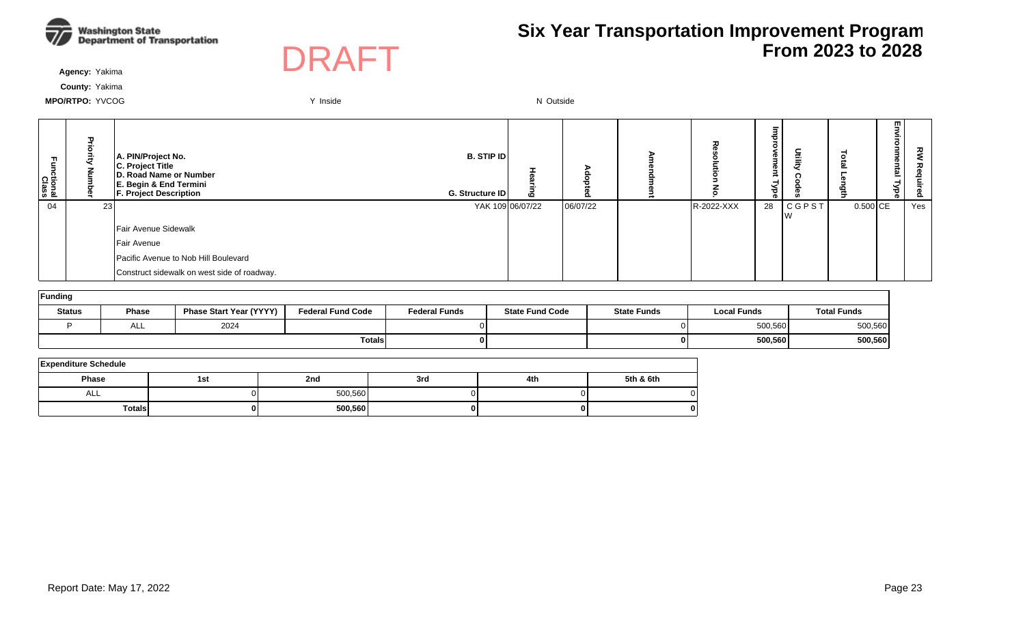



**Agency:** Yakima

**County:** Yakima

| 곤<br><b>Class</b><br>Class |    | A. PIN/Project No.<br>C. Project Title<br>D. Road Name or Number<br><b>E. Begin &amp; End Termini</b><br><b>F. Project Description</b> | <b>B. STIP ID</b><br>G. Structure ID | <b>CO</b> |          | 고          | Б<br>ᄒ<br>$\circ$<br>Φũ<br>enr<br>Йве | 듶               |            | 5<br>nme<br>intal<br>ರ<br>ॾ. | 丒   |
|----------------------------|----|----------------------------------------------------------------------------------------------------------------------------------------|--------------------------------------|-----------|----------|------------|---------------------------------------|-----------------|------------|------------------------------|-----|
| 04                         | 23 |                                                                                                                                        | YAK 109 06/07/22                     |           | 06/07/22 | R-2022-XXX | 28                                    | C G P S T<br>Iw | $0.500$ CE |                              | Yes |
|                            |    | Fair Avenue Sidewalk                                                                                                                   |                                      |           |          |            |                                       |                 |            |                              |     |
|                            |    | Fair Avenue                                                                                                                            |                                      |           |          |            |                                       |                 |            |                              |     |
|                            |    | Pacific Avenue to Nob Hill Boulevard                                                                                                   |                                      |           |          |            |                                       |                 |            |                              |     |
|                            |    | Construct sidewalk on west side of roadway.                                                                                            |                                      |           |          |            |                                       |                 |            |                              |     |

| Funding       |       |                                |                          |                      |                        |                    |                    |                    |  |  |  |  |  |  |
|---------------|-------|--------------------------------|--------------------------|----------------------|------------------------|--------------------|--------------------|--------------------|--|--|--|--|--|--|
| <b>Status</b> | Phase | <b>Phase Start Year (YYYY)</b> | <b>Federal Fund Code</b> | <b>Federal Funds</b> | <b>State Fund Code</b> | <b>State Funds</b> | <b>Local Funds</b> | <b>Total Funds</b> |  |  |  |  |  |  |
|               | ALL   | 2024                           |                          |                      |                        |                    | 500,560            | 500,560            |  |  |  |  |  |  |
|               |       |                                | <b>Totals</b>            |                      |                        |                    | 500,560            | 500,560            |  |  |  |  |  |  |

| <b>Expenditure Schedule</b> |     |         |     |     |           |  |  |  |  |  |  |  |
|-----------------------------|-----|---------|-----|-----|-----------|--|--|--|--|--|--|--|
| <b>Phase</b>                | 1st | 2nd     | 3rd | 4th | 5th & 6th |  |  |  |  |  |  |  |
| ALL                         |     | 500,560 |     |     |           |  |  |  |  |  |  |  |
| <b>Totals</b>               |     | 500,560 |     |     | o         |  |  |  |  |  |  |  |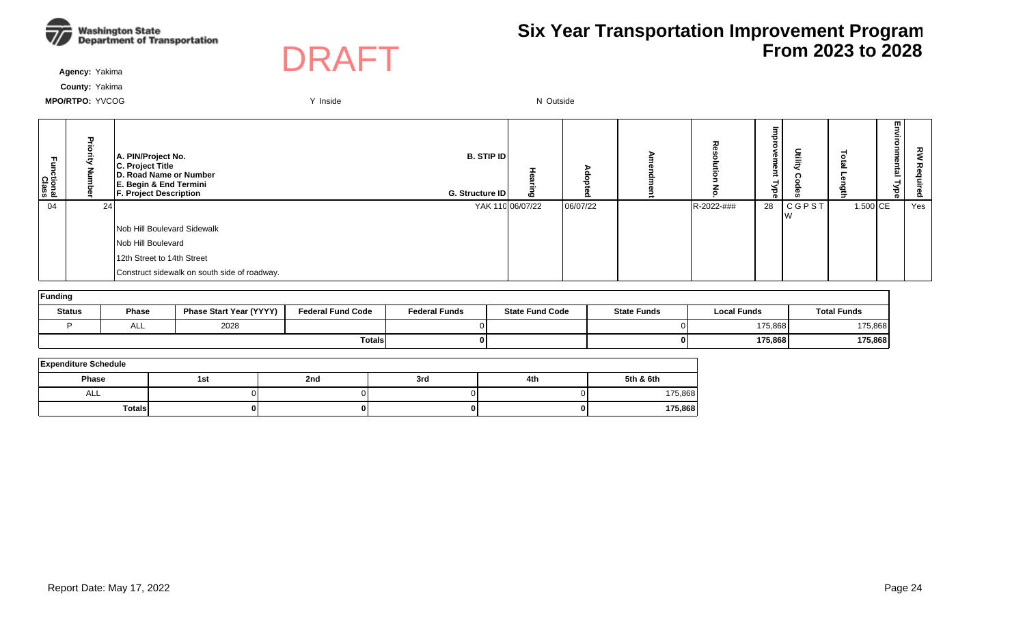



**Agency:** Yakima

**County:** Yakima

| ctional<br>Class | π  | A. PIN/Project No.<br>C. Project Title<br>D. Road Name or Number<br>E. Begin & End Termini<br><b>F. Project Description</b> | <b>B. STIP ID</b><br>G. Structure ID | $\overline{c}$   |          | ᅎ          | Ø<br>ന<br>ಕ<br>o. | Utilit               |          | m<br><u>한</u> | š<br>ء<br>ó. |
|------------------|----|-----------------------------------------------------------------------------------------------------------------------------|--------------------------------------|------------------|----------|------------|-------------------|----------------------|----------|---------------|--------------|
| 04               | 24 |                                                                                                                             |                                      | YAK 110 06/07/22 | 06/07/22 | R-2022-### | 28                | <b>CGPST</b><br>∣V V | 1.500 CE |               | Yes          |
|                  |    | Nob Hill Boulevard Sidewalk                                                                                                 |                                      |                  |          |            |                   |                      |          |               |              |
|                  |    | Nob Hill Boulevard                                                                                                          |                                      |                  |          |            |                   |                      |          |               |              |
|                  |    | 12th Street to 14th Street                                                                                                  |                                      |                  |          |            |                   |                      |          |               |              |
|                  |    | Construct sidewalk on south side of roadway.                                                                                |                                      |                  |          |            |                   |                      |          |               |              |

| Funding       |              |                                |                          |                      |                        |                    |                    |                    |  |  |  |  |  |  |
|---------------|--------------|--------------------------------|--------------------------|----------------------|------------------------|--------------------|--------------------|--------------------|--|--|--|--|--|--|
| <b>Status</b> | Phase        | <b>Phase Start Year (YYYY)</b> | <b>Federal Fund Code</b> | <b>Federal Funds</b> | <b>State Fund Code</b> | <b>State Funds</b> | <b>Local Funds</b> | <b>Total Funds</b> |  |  |  |  |  |  |
|               | $\sim$<br>── | 2028                           |                          |                      |                        | ΟI                 | 175,868            | 175,868            |  |  |  |  |  |  |
|               |              |                                | <b>Totals</b>            |                      |                        | 0 I                | 175,868            | 175,868            |  |  |  |  |  |  |

| <b>Expenditure Schedule</b> |     |     |     |     |           |  |  |  |  |  |  |
|-----------------------------|-----|-----|-----|-----|-----------|--|--|--|--|--|--|
| Phase                       | 1st | 2nd | 3rd | 4th | 5th & 6th |  |  |  |  |  |  |
| ALL                         |     |     |     |     | 175,868   |  |  |  |  |  |  |
| TotalsI                     |     |     |     |     | 175,868   |  |  |  |  |  |  |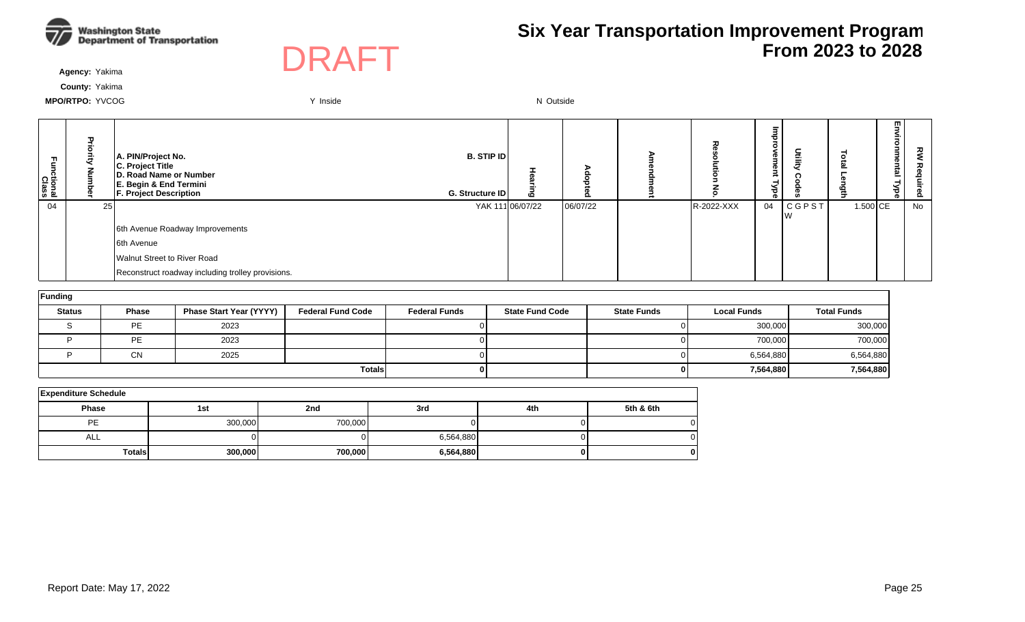



**Agency:** Yakima

**County:** Yakima

| m<br>ctional<br>Class | π<br>콩<br>ई<br>Š | A. PIN/Project No.<br>C. Project Title<br>D. Road Name or Number<br>E. Begin & End Termini<br><b>F. Project Description</b> | <b>B. STIP ID</b><br>G. Structure ID | 6                | o        | ᆽ          | o i<br>з<br>നം സ<br>₹<br>క<br>ΦĪ | ilit)        | ۵ń       | m.<br>$\mathbf{z}$<br>ō<br>Ξ<br>⊣<br>ಕ<br>ത | ᇰ<br><u>o</u> |
|-----------------------|------------------|-----------------------------------------------------------------------------------------------------------------------------|--------------------------------------|------------------|----------|------------|----------------------------------|--------------|----------|---------------------------------------------|---------------|
| 04                    | 25 <sub>l</sub>  |                                                                                                                             |                                      | YAK 111 06/07/22 | 06/07/22 | R-2022-XXX | 04                               | <b>CGPST</b> | 1.500 CE |                                             | No            |
|                       |                  | 6th Avenue Roadway Improvements                                                                                             |                                      |                  |          |            |                                  |              |          |                                             |               |
|                       |                  | 6th Avenue                                                                                                                  |                                      |                  |          |            |                                  |              |          |                                             |               |
|                       |                  | Walnut Street to River Road                                                                                                 |                                      |                  |          |            |                                  |              |          |                                             |               |
|                       |                  | Reconstruct roadway including trolley provisions.                                                                           |                                      |                  |          |            |                                  |              |          |                                             |               |

| Funding       |              |                                |                          |                      |                        |                    |                    |                    |  |  |  |  |  |
|---------------|--------------|--------------------------------|--------------------------|----------------------|------------------------|--------------------|--------------------|--------------------|--|--|--|--|--|
| <b>Status</b> | <b>Phase</b> | <b>Phase Start Year (YYYY)</b> | <b>Federal Fund Code</b> | <b>Federal Funds</b> | <b>State Fund Code</b> | <b>State Funds</b> | <b>Local Funds</b> | <b>Total Funds</b> |  |  |  |  |  |
|               | PE           | 2023                           |                          |                      |                        |                    | 300,000            | 300,000            |  |  |  |  |  |
|               | PE           | 2023                           |                          |                      |                        |                    | 700,000            | 700,000            |  |  |  |  |  |
|               | <b>CN</b>    | 2025                           |                          |                      |                        |                    | 6,564,880          | 6,564,880          |  |  |  |  |  |
|               |              |                                | <b>Totals</b>            |                      |                        |                    | 7,564,880          | 7,564,880          |  |  |  |  |  |

| <b>Expenditure Schedule</b> |         |         |           |     |           |  |  |  |  |  |  |  |
|-----------------------------|---------|---------|-----------|-----|-----------|--|--|--|--|--|--|--|
| <b>Phase</b>                | 1st     | 2nd     | 3rd       | 4th | 5th & 6th |  |  |  |  |  |  |  |
| PE                          | 300,000 | 700,000 |           |     |           |  |  |  |  |  |  |  |
| ALL                         |         |         | 6,564,880 |     |           |  |  |  |  |  |  |  |
| <b>Totals</b>               | 300,000 | 700,000 | 6,564,880 |     | 0         |  |  |  |  |  |  |  |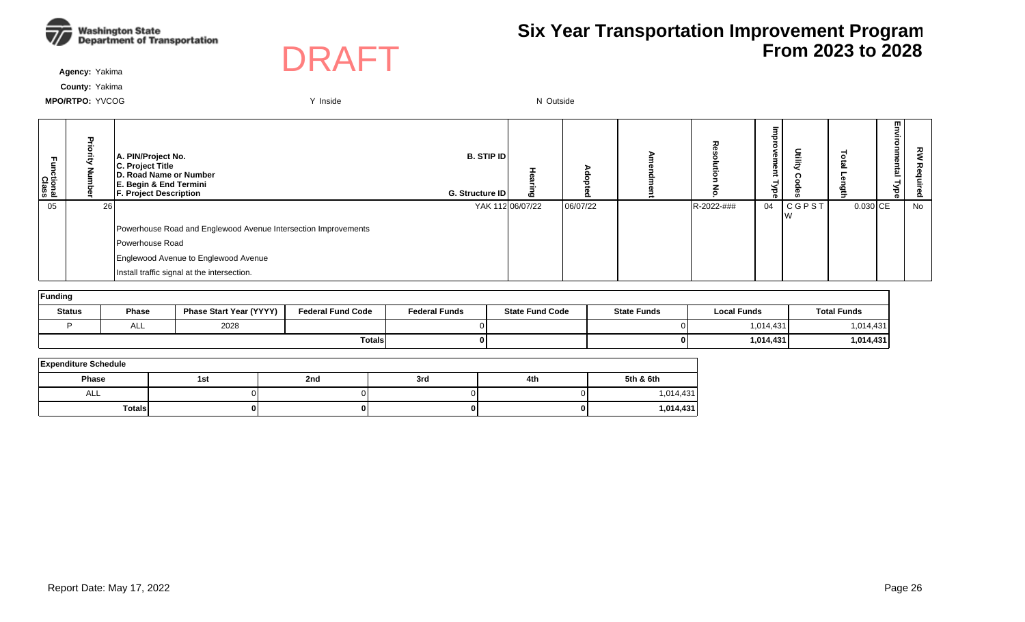



**Agency:** Yakima

**County:** Yakima

| ctional<br>Class | ᄁ<br>공    | A. PIN/Project No.<br>C. Project Title<br>D. Road Name or Number<br>E. Begin & End Termini<br><b>F. Project Description</b> | <b>B. STIP ID</b><br>G. Structure ID | ဇ                |          | ᆽ          | <b>D</b><br>3.<br>Φ<br>`₹<br>ര | Ē            |            | m<br>ᇛ | ᇰ<br>ဥ |
|------------------|-----------|-----------------------------------------------------------------------------------------------------------------------------|--------------------------------------|------------------|----------|------------|--------------------------------|--------------|------------|--------|--------|
| 05               | <b>26</b> |                                                                                                                             |                                      | YAK 112 06/07/22 | 06/07/22 | R-2022-### | 04                             | <b>CGPST</b> | $0.030$ CE |        | No     |
|                  |           | Powerhouse Road and Englewood Avenue Intersection Improvements                                                              |                                      |                  |          |            |                                |              |            |        |        |
|                  |           | Powerhouse Road                                                                                                             |                                      |                  |          |            |                                |              |            |        |        |
|                  |           | Englewood Avenue to Englewood Avenue                                                                                        |                                      |                  |          |            |                                |              |            |        |        |
|                  |           | Install traffic signal at the intersection.                                                                                 |                                      |                  |          |            |                                |              |            |        |        |

| Funding       |                   |                                |                          |                      |                        |                    |                    |                    |  |  |  |  |  |
|---------------|-------------------|--------------------------------|--------------------------|----------------------|------------------------|--------------------|--------------------|--------------------|--|--|--|--|--|
| <b>Status</b> | <b>Phase</b>      | <b>Phase Start Year (YYYY)</b> | <b>Federal Fund Code</b> | <b>Federal Funds</b> | <b>State Fund Code</b> | <b>State Funds</b> | <b>Local Funds</b> | <b>Total Funds</b> |  |  |  |  |  |
|               | $\mathbf{A}$<br>∼ | 2028                           |                          |                      |                        | ΟI                 | 1,014,431          | 1,014,431          |  |  |  |  |  |
| <b>Totals</b> |                   |                                |                          |                      |                        | 0 I                | 1,014,431          | 1,014,431          |  |  |  |  |  |

| <b>Expenditure Schedule</b> |     |     |     |     |           |  |  |  |  |  |  |
|-----------------------------|-----|-----|-----|-----|-----------|--|--|--|--|--|--|
| Phase                       | 1st | 2nd | 3rd | 4th | 5th & 6th |  |  |  |  |  |  |
| ALL                         |     |     |     |     | 1,014,431 |  |  |  |  |  |  |
| TotalsI                     | 0   |     |     |     | 1,014,431 |  |  |  |  |  |  |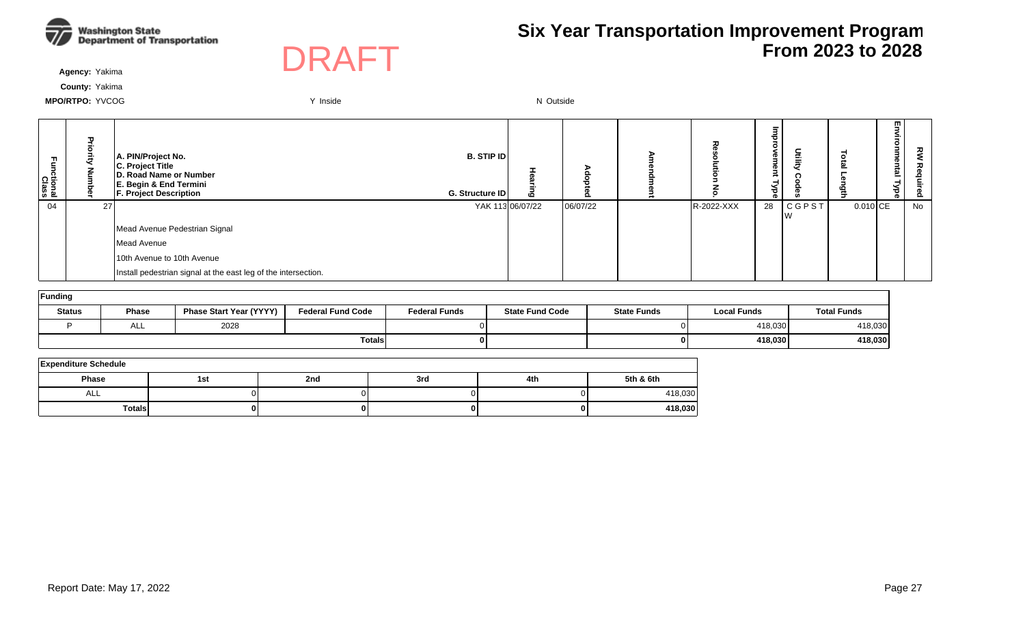



**Agency:** Yakima

**County:** Yakima

| m<br>ctional<br>Class | ಕ<br>ā<br>Š | A. PIN/Project No.<br>C. Project Title<br>D. Road Name or Number<br>E. Begin & End Termini<br><b>F. Project Description</b> | <b>B. STIP ID</b><br>G. Structure ID | ō                | $\circ$  | ᆽ          | ъ<br><b>D</b><br>з<br><b>D</b><br>-<br>≺<br>78ैं । | ⋚          | $\Rightarrow$ | m.<br>ወ<br>한<br>⊣<br>Ѣ<br>ወ | ξ<br>ဥ |
|-----------------------|-------------|-----------------------------------------------------------------------------------------------------------------------------|--------------------------------------|------------------|----------|------------|----------------------------------------------------|------------|---------------|-----------------------------|--------|
| 04                    | 27          |                                                                                                                             |                                      | YAK 113 06/07/22 | 06/07/22 | R-2022-XXX | 28                                                 | CGPST<br>N | $0.010$ CE    |                             | No     |
|                       |             | Mead Avenue Pedestrian Signal                                                                                               |                                      |                  |          |            |                                                    |            |               |                             |        |
|                       |             | Mead Avenue                                                                                                                 |                                      |                  |          |            |                                                    |            |               |                             |        |
|                       |             | 10th Avenue to 10th Avenue                                                                                                  |                                      |                  |          |            |                                                    |            |               |                             |        |
|                       |             | Install pedestrian signal at the east leg of the intersection.                                                              |                                      |                  |          |            |                                                    |            |               |                             |        |

| Funding       |              |                                |                          |                      |                        |                    |                    |                    |  |  |  |  |  |
|---------------|--------------|--------------------------------|--------------------------|----------------------|------------------------|--------------------|--------------------|--------------------|--|--|--|--|--|
| <b>Status</b> | <b>Phase</b> | <b>Phase Start Year (YYYY)</b> | <b>Federal Fund Code</b> | <b>Federal Funds</b> | <b>State Fund Code</b> | <b>State Funds</b> | <b>Local Funds</b> | <b>Total Funds</b> |  |  |  |  |  |
|               | ALL          | 2028                           |                          |                      |                        | 01                 | 418,030            | 418,030            |  |  |  |  |  |
|               |              |                                | Totalsl                  |                      |                        | 0 I                | 418.030            | 418,030            |  |  |  |  |  |

| <b>Expenditure Schedule</b> |     |     |     |     |           |  |  |  |  |  |  |
|-----------------------------|-----|-----|-----|-----|-----------|--|--|--|--|--|--|
| <b>Phase</b>                | 1st | 2nd | 3rd | 4th | 5th & 6th |  |  |  |  |  |  |
| ALL                         |     |     |     |     | 418,030   |  |  |  |  |  |  |
| <b>Totals</b>               |     |     |     | 01  | 418,030   |  |  |  |  |  |  |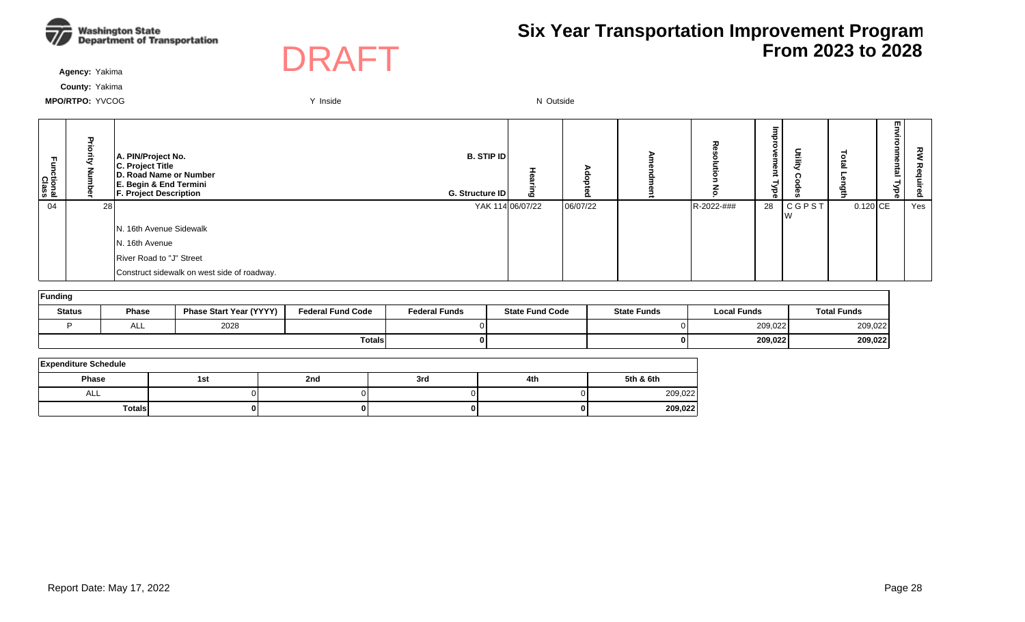



**Agency:** Yakima

**County:** Yakima

| 곤<br>tional:<br>Class |      | A. PIN/Project No.<br>C. Project Title<br>D. Road Name or Number<br>E. Begin & End Termini<br><b>F. Project Description</b> | <b>B. STIP ID</b><br>G. Structure ID | Ō                |          | 고          | Ø<br>P<br>-<br>≺<br>್ಥ | Utilit       |            | m<br><u>한</u> | RΜ<br>ء<br><b>D</b><br>ó. |
|-----------------------|------|-----------------------------------------------------------------------------------------------------------------------------|--------------------------------------|------------------|----------|------------|------------------------|--------------|------------|---------------|---------------------------|
| 04                    | 28 I |                                                                                                                             |                                      | YAK 114 06/07/22 | 06/07/22 | R-2022-### | 28                     | <b>CGPST</b> | $0.120$ CE |               | Yes                       |
|                       |      | N. 16th Avenue Sidewalk                                                                                                     |                                      |                  |          |            |                        |              |            |               |                           |
|                       |      | N. 16th Avenue                                                                                                              |                                      |                  |          |            |                        |              |            |               |                           |
|                       |      | River Road to "J" Street                                                                                                    |                                      |                  |          |            |                        |              |            |               |                           |
|                       |      | Construct sidewalk on west side of roadway.                                                                                 |                                      |                  |          |            |                        |              |            |               |                           |

| Funding       |              |                                |                          |                      |                        |                    |                    |                    |  |  |  |  |  |
|---------------|--------------|--------------------------------|--------------------------|----------------------|------------------------|--------------------|--------------------|--------------------|--|--|--|--|--|
| <b>Status</b> | <b>Phase</b> | <b>Phase Start Year (YYYY)</b> | <b>Federal Fund Code</b> | <b>Federal Funds</b> | <b>State Fund Code</b> | <b>State Funds</b> | <b>Local Funds</b> | <b>Total Funds</b> |  |  |  |  |  |
|               | ALL          | 2028                           |                          |                      |                        |                    | 209,022            | 209,022            |  |  |  |  |  |
|               |              |                                | Totals                   | 0 I                  |                        |                    | 209,022            | 209,022            |  |  |  |  |  |

| <b>Expenditure Schedule</b> |     |     |     |     |           |  |  |  |  |  |  |
|-----------------------------|-----|-----|-----|-----|-----------|--|--|--|--|--|--|
| <b>Phase</b>                | 1st | 2nd | 3rd | 4th | 5th & 6th |  |  |  |  |  |  |
| ALL                         |     |     |     |     | 209,022   |  |  |  |  |  |  |
| TotalsI                     | 0 I |     |     |     | 209,022   |  |  |  |  |  |  |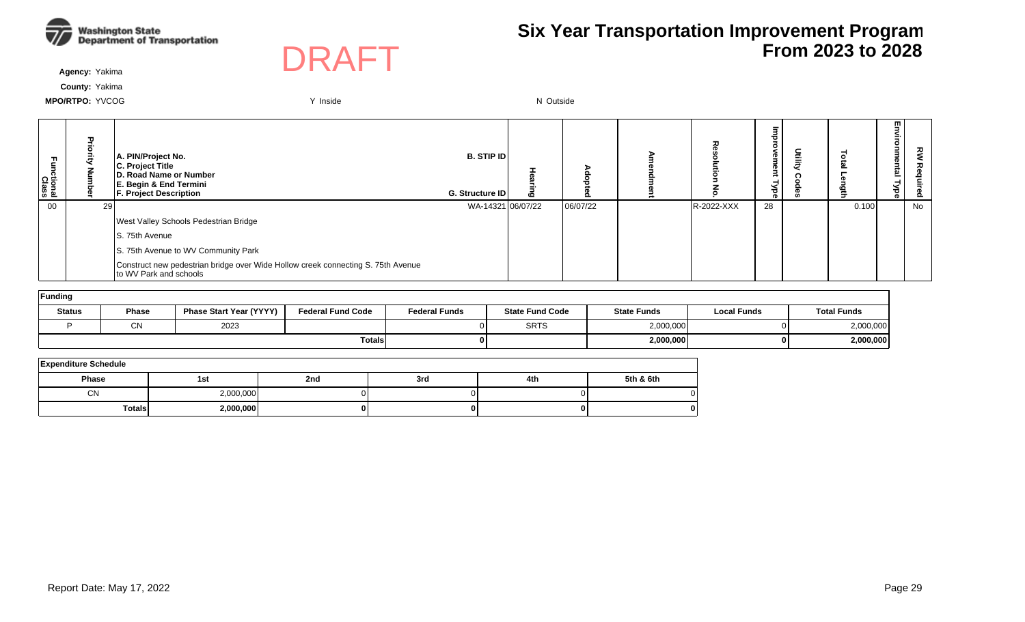



**Agency:** Yakima

**County:** Yakima

| m.<br>ctional<br>Class |    | A. PIN/Project No.<br>C. Project Title<br>D. Road Name or Number<br><b>E. Begin &amp; End Termini</b><br><b>F. Project Description</b> | <b>B. STIP IDI</b><br>G. Structure ID | $\mathbf{c}$ |          |            | 73<br>o<br>eu<br>eur<br>ă |       | m<br>Ξ.<br>me<br>$\frac{1}{2}$<br>ರ<br>ക |     |
|------------------------|----|----------------------------------------------------------------------------------------------------------------------------------------|---------------------------------------|--------------|----------|------------|---------------------------|-------|------------------------------------------|-----|
| 00                     | 29 |                                                                                                                                        | WA-14321 06/07/22                     |              | 06/07/22 | R-2022-XXX | 28                        | 0.100 |                                          | No. |
|                        |    | West Valley Schools Pedestrian Bridge                                                                                                  |                                       |              |          |            |                           |       |                                          |     |
|                        |    | IS. 75th Avenue                                                                                                                        |                                       |              |          |            |                           |       |                                          |     |
|                        |    | S. 75th Avenue to WV Community Park                                                                                                    |                                       |              |          |            |                           |       |                                          |     |
|                        |    | Construct new pedestrian bridge over Wide Hollow creek connecting S. 75th Avenue<br>to WV Park and schools                             |                                       |              |          |            |                           |       |                                          |     |

| Funding       |              |                                |                          |                      |                        |                    |                    |                    |  |  |  |  |
|---------------|--------------|--------------------------------|--------------------------|----------------------|------------------------|--------------------|--------------------|--------------------|--|--|--|--|
| <b>Status</b> | <b>Phase</b> | <b>Phase Start Year (YYYY)</b> | <b>Federal Fund Code</b> | <b>Federal Funds</b> | <b>State Fund Code</b> | <b>State Funds</b> | <b>Local Funds</b> | <b>Total Funds</b> |  |  |  |  |
|               | $\sim$<br>UΝ | 2023                           |                          |                      | <b>SRTS</b>            | 2,000,000          |                    | 2,000,000          |  |  |  |  |
| Totals        |              |                                |                          |                      |                        | 2,000,000          | 01                 | 2,000,000          |  |  |  |  |

| <b>Expenditure Schedule</b> |           |     |     |     |           |  |  |  |  |  |  |
|-----------------------------|-----------|-----|-----|-----|-----------|--|--|--|--|--|--|
| <b>Phase</b>                | 1st       | 2nd | 3rd | 4th | 5th & 6th |  |  |  |  |  |  |
| CN                          | 2,000,000 |     |     |     |           |  |  |  |  |  |  |
| <b>Totals</b>               | 2,000,000 | 01  |     |     |           |  |  |  |  |  |  |